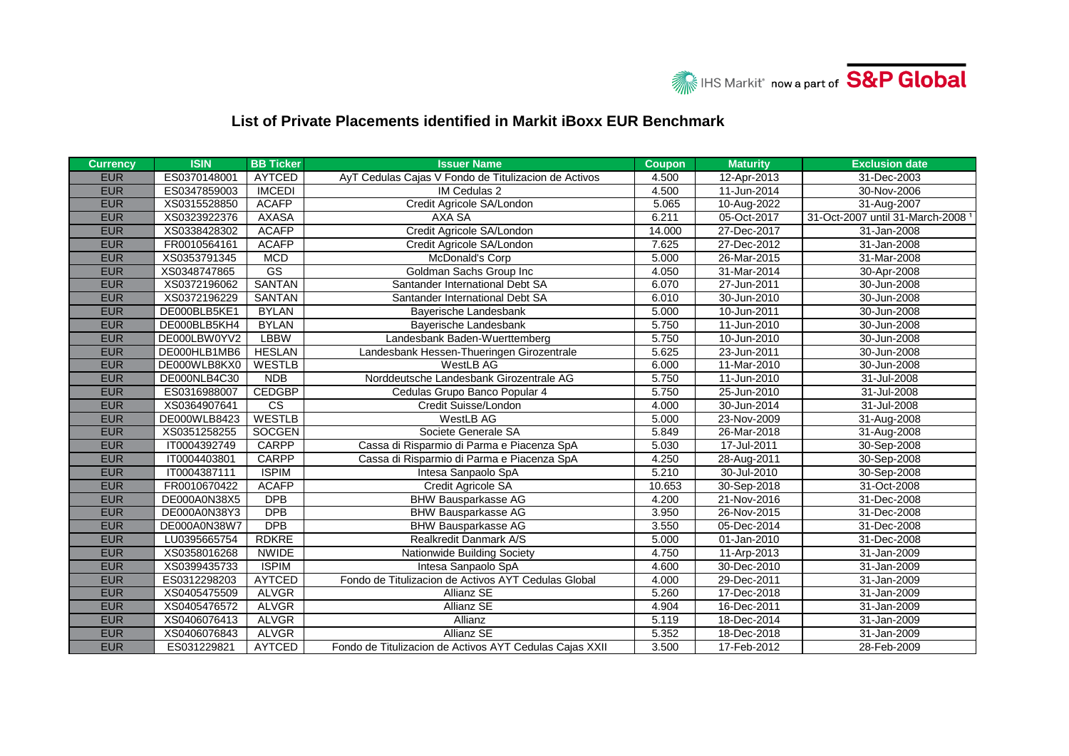

## **List of Private Placements identified in Markit iBoxx EUR Benchmark**

| <b>Currency</b> | <b>ISIN</b>  | <b>BB Ticker</b>       | <b>Issuer Name</b>                                      | <b>Coupon</b> | <b>Maturity</b> | <b>Exclusion date</b>                        |
|-----------------|--------------|------------------------|---------------------------------------------------------|---------------|-----------------|----------------------------------------------|
| <b>EUR</b>      | ES0370148001 | <b>AYTCED</b>          | AyT Cedulas Cajas V Fondo de Titulizacion de Activos    | 4.500         | 12-Apr-2013     | 31-Dec-2003                                  |
| <b>EUR</b>      | ES0347859003 | <b>IMCEDI</b>          | IM Cedulas 2                                            | 4.500         | 11-Jun-2014     | 30-Nov-2006                                  |
| <b>EUR</b>      | XS0315528850 | <b>ACAFP</b>           | Credit Agricole SA/London                               | 5.065         | 10-Aug-2022     | 31-Aug-2007                                  |
| <b>EUR</b>      | XS0323922376 | <b>AXASA</b>           | AXA SA                                                  | 6.211         | 05-Oct-2017     | 31-Oct-2007 until 31-March-2008 <sup>1</sup> |
| <b>EUR</b>      | XS0338428302 | <b>ACAFP</b>           | Credit Agricole SA/London                               | 14.000        | 27-Dec-2017     | 31-Jan-2008                                  |
| <b>EUR</b>      | FR0010564161 | <b>ACAFP</b>           | Credit Agricole SA/London                               | 7.625         | 27-Dec-2012     | 31-Jan-2008                                  |
| <b>EUR</b>      | XS0353791345 | <b>MCD</b>             | McDonald's Corp                                         | 5.000         | 26-Mar-2015     | 31-Mar-2008                                  |
| <b>EUR</b>      | XS0348747865 | GS                     | Goldman Sachs Group Inc                                 | 4.050         | 31-Mar-2014     | 30-Apr-2008                                  |
| <b>EUR</b>      | XS0372196062 | <b>SANTAN</b>          | Santander International Debt SA                         | 6.070         | 27-Jun-2011     | 30-Jun-2008                                  |
| <b>EUR</b>      | XS0372196229 | <b>SANTAN</b>          | Santander International Debt SA                         | 6.010         | 30-Jun-2010     | 30-Jun-2008                                  |
| <b>EUR</b>      | DE000BLB5KE1 | <b>BYLAN</b>           | Bayerische Landesbank                                   | 5.000         | 10-Jun-2011     | 30-Jun-2008                                  |
| <b>EUR</b>      | DE000BLB5KH4 | <b>BYLAN</b>           | Bayerische Landesbank                                   | 5.750         | 11-Jun-2010     | 30-Jun-2008                                  |
| <b>EUR</b>      | DE000LBW0YV2 | <b>LBBW</b>            | Landesbank Baden-Wuerttemberg                           | 5.750         | 10-Jun-2010     | 30-Jun-2008                                  |
| <b>EUR</b>      | DE000HLB1MB6 | <b>HESLAN</b>          | Landesbank Hessen-Thueringen Girozentrale               | 5.625         | 23-Jun-2011     | 30-Jun-2008                                  |
| <b>EUR</b>      | DE000WLB8KX0 | <b>WESTLB</b>          | WestLB AG                                               | 6.000         | 11-Mar-2010     | 30-Jun-2008                                  |
| <b>EUR</b>      | DE000NLB4C30 | <b>NDB</b>             | Norddeutsche Landesbank Girozentrale AG                 | 5.750         | 11-Jun-2010     | 31-Jul-2008                                  |
| <b>EUR</b>      | ES0316988007 | <b>CEDGBP</b>          | Cedulas Grupo Banco Popular 4                           | 5.750         | 25-Jun-2010     | 31-Jul-2008                                  |
| <b>EUR</b>      | XS0364907641 | $\overline{\text{cs}}$ | Credit Suisse/London                                    | 4.000         | 30-Jun-2014     | 31-Jul-2008                                  |
| <b>EUR</b>      | DE000WLB8423 | <b>WESTLB</b>          | WestLB AG                                               | 5.000         | 23-Nov-2009     | 31-Aug-2008                                  |
| <b>EUR</b>      | XS0351258255 | <b>SOCGEN</b>          | Societe Generale SA                                     | 5.849         | 26-Mar-2018     | 31-Aug-2008                                  |
| <b>EUR</b>      | IT0004392749 | <b>CARPP</b>           | Cassa di Risparmio di Parma e Piacenza SpA              | 5.030         | 17-Jul-2011     | 30-Sep-2008                                  |
| <b>EUR</b>      | IT0004403801 | <b>CARPP</b>           | Cassa di Risparmio di Parma e Piacenza SpA              | 4.250         | 28-Aug-2011     | 30-Sep-2008                                  |
| <b>EUR</b>      | IT0004387111 | <b>ISPIM</b>           | Intesa Sanpaolo SpA                                     | 5.210         | 30-Jul-2010     | 30-Sep-2008                                  |
| <b>EUR</b>      | FR0010670422 | <b>ACAFP</b>           | Credit Agricole SA                                      | 10.653        | 30-Sep-2018     | 31-Oct-2008                                  |
| <b>EUR</b>      | DE000A0N38X5 | <b>DPB</b>             | <b>BHW Bausparkasse AG</b>                              | 4.200         | 21-Nov-2016     | 31-Dec-2008                                  |
| <b>EUR</b>      | DE000A0N38Y3 | <b>DPB</b>             | <b>BHW Bausparkasse AG</b>                              | 3.950         | 26-Nov-2015     | 31-Dec-2008                                  |
| <b>EUR</b>      | DE000A0N38W7 | <b>DPB</b>             | <b>BHW Bausparkasse AG</b>                              | 3.550         | 05-Dec-2014     | 31-Dec-2008                                  |
| <b>EUR</b>      | LU0395665754 | <b>RDKRE</b>           | Realkredit Danmark A/S                                  | 5.000         | 01-Jan-2010     | 31-Dec-2008                                  |
| <b>EUR</b>      | XS0358016268 | <b>NWIDE</b>           | Nationwide Building Society                             | 4.750         | 11-Arp-2013     | 31-Jan-2009                                  |
| <b>EUR</b>      | XS0399435733 | <b>ISPIM</b>           | Intesa Sanpaolo SpA                                     | 4.600         | 30-Dec-2010     | 31-Jan-2009                                  |
| <b>EUR</b>      | ES0312298203 | <b>AYTCED</b>          | Fondo de Titulizacion de Activos AYT Cedulas Global     | 4.000         | 29-Dec-2011     | 31-Jan-2009                                  |
| <b>EUR</b>      | XS0405475509 | <b>ALVGR</b>           | Allianz SE                                              | 5.260         | 17-Dec-2018     | 31-Jan-2009                                  |
| <b>EUR</b>      | XS0405476572 | <b>ALVGR</b>           | Allianz SE                                              | 4.904         | 16-Dec-2011     | 31-Jan-2009                                  |
| <b>EUR</b>      | XS0406076413 | <b>ALVGR</b>           | Allianz                                                 | 5.119         | 18-Dec-2014     | 31-Jan-2009                                  |
| <b>EUR</b>      | XS0406076843 | <b>ALVGR</b>           | <b>Allianz SE</b>                                       | 5.352         | 18-Dec-2018     | 31-Jan-2009                                  |
| <b>EUR</b>      | ES031229821  | <b>AYTCED</b>          | Fondo de Titulizacion de Activos AYT Cedulas Cajas XXII | 3.500         | 17-Feb-2012     | 28-Feb-2009                                  |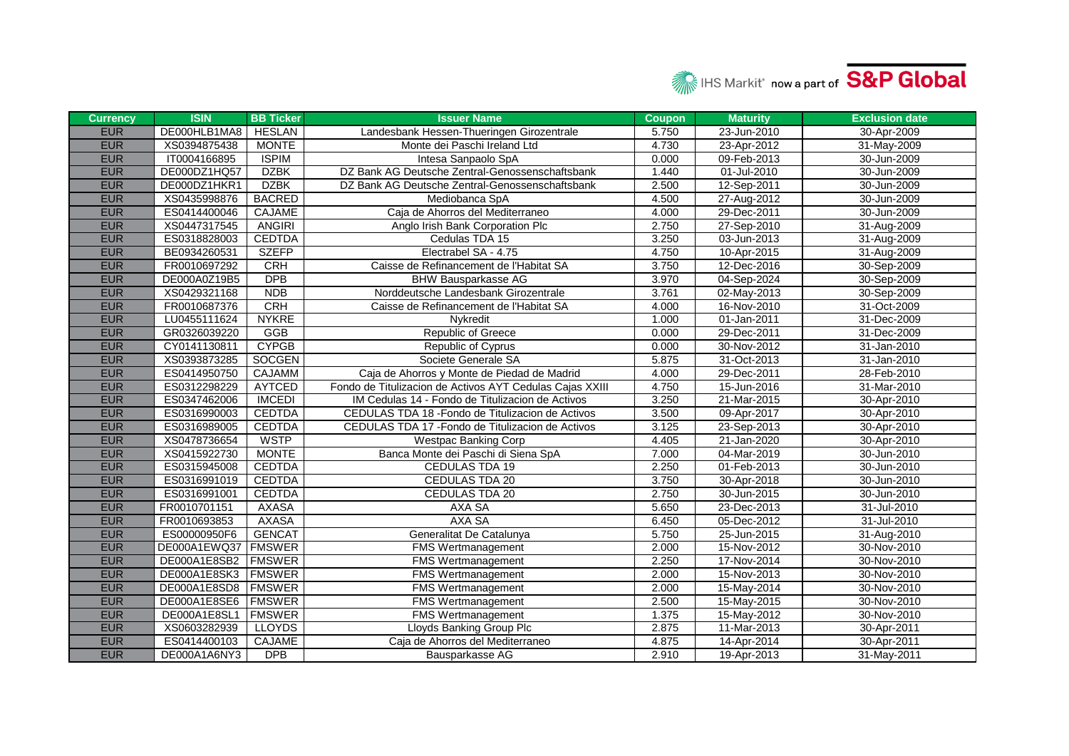

| <b>Currency</b> | <b>ISIN</b>  | <b>BB Ticker</b> | <b>Issuer Name</b>                                       | <b>Coupon</b> | <b>Maturity</b> | <b>Exclusion date</b> |
|-----------------|--------------|------------------|----------------------------------------------------------|---------------|-----------------|-----------------------|
| <b>EUR</b>      | DE000HLB1MA8 | <b>HESLAN</b>    | Landesbank Hessen-Thueringen Girozentrale                | 5.750         | 23-Jun-2010     | 30-Apr-2009           |
| <b>EUR</b>      | XS0394875438 | <b>MONTE</b>     | Monte dei Paschi Ireland Ltd                             | 4.730         | 23-Apr-2012     | 31-May-2009           |
| <b>EUR</b>      | IT0004166895 | <b>ISPIM</b>     | Intesa Sanpaolo SpA                                      | 0.000         | 09-Feb-2013     | 30-Jun-2009           |
| <b>EUR</b>      | DE000DZ1HQ57 | <b>DZBK</b>      | DZ Bank AG Deutsche Zentral-Genossenschaftsbank          | 1.440         | 01-Jul-2010     | 30-Jun-2009           |
| <b>EUR</b>      | DE000DZ1HKR1 | <b>DZBK</b>      | DZ Bank AG Deutsche Zentral-Genossenschaftsbank          | 2.500         | 12-Sep-2011     | 30-Jun-2009           |
| <b>EUR</b>      | XS0435998876 | <b>BACRED</b>    | Mediobanca SpA                                           | 4.500         | 27-Aug-2012     | 30-Jun-2009           |
| <b>EUR</b>      | ES0414400046 | <b>CAJAME</b>    | Caja de Ahorros del Mediterraneo                         | 4.000         | 29-Dec-2011     | 30-Jun-2009           |
| <b>EUR</b>      | XS0447317545 | <b>ANGIRI</b>    | Anglo Irish Bank Corporation Plc                         | 2.750         | 27-Sep-2010     | 31-Aug-2009           |
| <b>EUR</b>      | ES0318828003 | <b>CEDTDA</b>    | Cedulas TDA 15                                           | 3.250         | 03-Jun-2013     | 31-Aug-2009           |
| <b>EUR</b>      | BE0934260531 | <b>SZEFP</b>     | Electrabel SA - 4.75                                     | 4.750         | 10-Apr-2015     | 31-Aug-2009           |
| <b>EUR</b>      | FR0010697292 | CRH              | Caisse de Refinancement de l'Habitat SA                  | 3.750         | 12-Dec-2016     | 30-Sep-2009           |
| <b>EUR</b>      | DE000A0Z19B5 | <b>DPB</b>       | <b>BHW Bausparkasse AG</b>                               | 3.970         | 04-Sep-2024     | 30-Sep-2009           |
| <b>EUR</b>      | XS0429321168 | <b>NDB</b>       | Norddeutsche Landesbank Girozentrale                     | 3.761         | 02-May-2013     | 30-Sep-2009           |
| <b>EUR</b>      | FR0010687376 | <b>CRH</b>       | Caisse de Refinancement de l'Habitat SA                  | 4.000         | 16-Nov-2010     | 31-Oct-2009           |
| <b>EUR</b>      | LU0455111624 | <b>NYKRE</b>     | Nykredit                                                 | 1.000         | 01-Jan-2011     | 31-Dec-2009           |
| <b>EUR</b>      | GR0326039220 | GGB              | <b>Republic of Greece</b>                                | 0.000         | 29-Dec-2011     | 31-Dec-2009           |
| <b>EUR</b>      | CY0141130811 | <b>CYPGB</b>     | Republic of Cyprus                                       | 0.000         | 30-Nov-2012     | 31-Jan-2010           |
| <b>EUR</b>      | XS0393873285 | <b>SOCGEN</b>    | Societe Generale SA                                      | 5.875         | 31-Oct-2013     | 31-Jan-2010           |
| <b>EUR</b>      | ES0414950750 | <b>CAJAMM</b>    | Caja de Ahorros y Monte de Piedad de Madrid              | 4.000         | 29-Dec-2011     | 28-Feb-2010           |
| <b>EUR</b>      | ES0312298229 | AYTCED           | Fondo de Titulizacion de Activos AYT Cedulas Cajas XXIII | 4.750         | 15-Jun-2016     | 31-Mar-2010           |
| <b>EUR</b>      | ES0347462006 | <b>IMCEDI</b>    | IM Cedulas 14 - Fondo de Titulizacion de Activos         | 3.250         | 21-Mar-2015     | 30-Apr-2010           |
| <b>EUR</b>      | ES0316990003 | <b>CEDTDA</b>    | CEDULAS TDA 18 - Fondo de Titulizacion de Activos        | 3.500         | 09-Apr-2017     | 30-Apr-2010           |
| <b>EUR</b>      | ES0316989005 | <b>CEDTDA</b>    | CEDULAS TDA 17 - Fondo de Titulizacion de Activos        | 3.125         | 23-Sep-2013     | 30-Apr-2010           |
| <b>EUR</b>      | XS0478736654 | <b>WSTP</b>      | <b>Westpac Banking Corp</b>                              | 4.405         | 21-Jan-2020     | 30-Apr-2010           |
| <b>EUR</b>      | XS0415922730 | <b>MONTE</b>     | Banca Monte dei Paschi di Siena SpA                      | 7.000         | 04-Mar-2019     | 30-Jun-2010           |
| <b>EUR</b>      | ES0315945008 | <b>CEDTDA</b>    | CEDULAS TDA 19                                           | 2.250         | 01-Feb-2013     | 30-Jun-2010           |
| <b>EUR</b>      | ES0316991019 | <b>CEDTDA</b>    | CEDULAS TDA 20                                           | 3.750         | 30-Apr-2018     | 30-Jun-2010           |
| <b>EUR</b>      | ES0316991001 | <b>CEDTDA</b>    | <b>CEDULAS TDA 20</b>                                    | 2.750         | 30-Jun-2015     | 30-Jun-2010           |
| <b>EUR</b>      | FR0010701151 | <b>AXASA</b>     | AXA SA                                                   | 5.650         | 23-Dec-2013     | 31-Jul-2010           |
| <b>EUR</b>      | FR0010693853 | <b>AXASA</b>     | AXA SA                                                   | 6.450         | 05-Dec-2012     | 31-Jul-2010           |
| <b>EUR</b>      | ES00000950F6 | <b>GENCAT</b>    | Generalitat De Catalunya                                 | 5.750         | 25-Jun-2015     | 31-Aug-2010           |
| <b>EUR</b>      | DE000A1EWQ37 | <b>FMSWER</b>    | <b>FMS Wertmanagement</b>                                | 2.000         | 15-Nov-2012     | 30-Nov-2010           |
| <b>EUR</b>      | DE000A1E8SB2 | <b>FMSWER</b>    | <b>FMS Wertmanagement</b>                                | 2.250         | 17-Nov-2014     | 30-Nov-2010           |
| <b>EUR</b>      | DE000A1E8SK3 | <b>FMSWER</b>    | <b>FMS Wertmanagement</b>                                | 2.000         | 15-Nov-2013     | 30-Nov-2010           |
| <b>EUR</b>      | DE000A1E8SD8 | <b>FMSWER</b>    | <b>FMS Wertmanagement</b>                                | 2.000         | 15-May-2014     | 30-Nov-2010           |
| <b>EUR</b>      | DE000A1E8SE6 | <b>FMSWER</b>    | <b>FMS Wertmanagement</b>                                | 2.500         | 15-May-2015     | 30-Nov-2010           |
| <b>EUR</b>      | DE000A1E8SL1 | <b>FMSWER</b>    | <b>FMS Wertmanagement</b>                                | 1.375         | 15-May-2012     | 30-Nov-2010           |
| <b>EUR</b>      | XS0603282939 | <b>LLOYDS</b>    | Lloyds Banking Group Plc                                 | 2.875         | 11-Mar-2013     | 30-Apr-2011           |
| <b>EUR</b>      | ES0414400103 | <b>CAJAME</b>    | Caja de Ahorros del Mediterraneo                         | 4.875         | 14-Apr-2014     | 30-Apr-2011           |
| <b>EUR</b>      | DE000A1A6NY3 | <b>DPB</b>       | Bausparkasse AG                                          | 2.910         | 19-Apr-2013     | 31-May-2011           |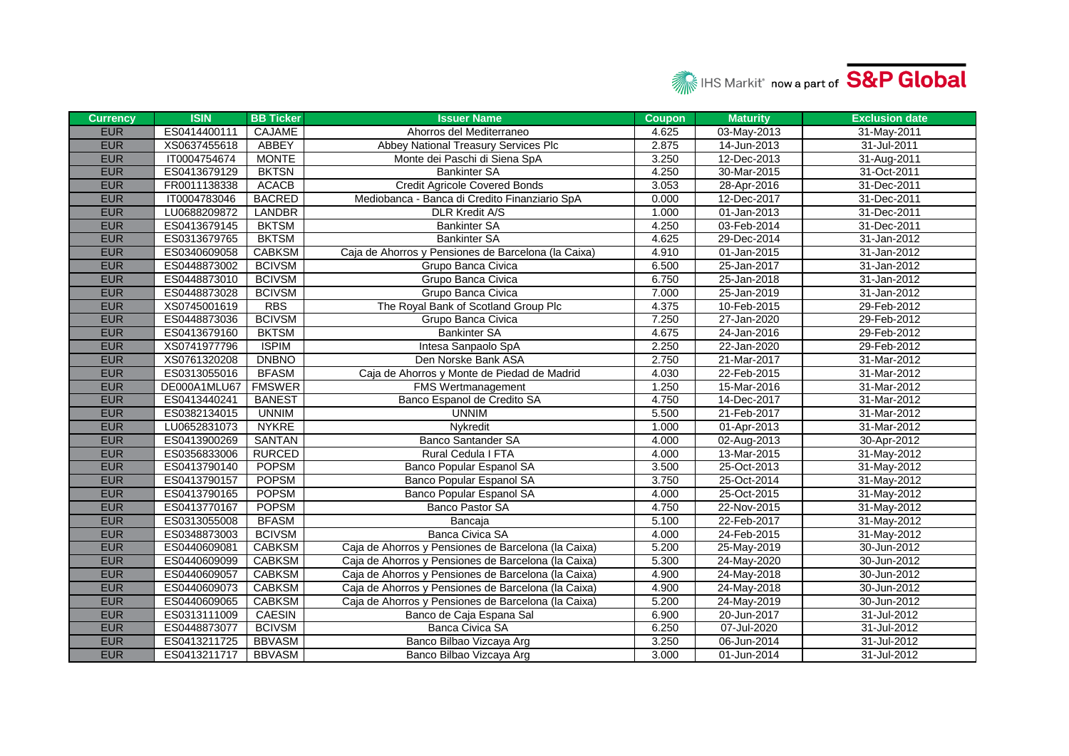

| <b>Currency</b> | <b>ISIN</b>  | <b>BB Ticker</b> | <b>Issuer Name</b>                                  | <b>Coupon</b> | <b>Maturity</b> | <b>Exclusion date</b> |
|-----------------|--------------|------------------|-----------------------------------------------------|---------------|-----------------|-----------------------|
| <b>EUR</b>      | ES0414400111 | <b>CAJAME</b>    | Ahorros del Mediterraneo                            | 4.625         | 03-May-2013     | 31-May-2011           |
| <b>EUR</b>      | XS0637455618 | <b>ABBEY</b>     | Abbey National Treasury Services Plc                | 2.875         | 14-Jun-2013     | 31-Jul-2011           |
| <b>EUR</b>      | IT0004754674 | <b>MONTE</b>     | Monte dei Paschi di Siena SpA                       | 3.250         | 12-Dec-2013     | 31-Aug-2011           |
| <b>EUR</b>      | ES0413679129 | <b>BKTSN</b>     | <b>Bankinter SA</b>                                 | 4.250         | 30-Mar-2015     | 31-Oct-2011           |
| <b>EUR</b>      | FR0011138338 | <b>ACACB</b>     | <b>Credit Agricole Covered Bonds</b>                | 3.053         | 28-Apr-2016     | 31-Dec-2011           |
| <b>EUR</b>      | IT0004783046 | <b>BACRED</b>    | Mediobanca - Banca di Credito Finanziario SpA       | 0.000         | 12-Dec-2017     | 31-Dec-2011           |
| <b>EUR</b>      | LU0688209872 | <b>LANDBR</b>    | <b>DLR Kredit A/S</b>                               | 1.000         | 01-Jan-2013     | 31-Dec-2011           |
| <b>EUR</b>      | ES0413679145 | <b>BKTSM</b>     | <b>Bankinter SA</b>                                 | 4.250         | 03-Feb-2014     | 31-Dec-2011           |
| <b>EUR</b>      | ES0313679765 | <b>BKTSM</b>     | <b>Bankinter SA</b>                                 | 4.625         | 29-Dec-2014     | 31-Jan-2012           |
| <b>EUR</b>      | ES0340609058 | <b>CABKSM</b>    | Caja de Ahorros y Pensiones de Barcelona (la Caixa) | 4.910         | 01-Jan-2015     | 31-Jan-2012           |
| <b>EUR</b>      | ES0448873002 | <b>BCIVSM</b>    | Grupo Banca Civica                                  | 6.500         | 25-Jan-2017     | 31-Jan-2012           |
| <b>EUR</b>      | ES0448873010 | <b>BCIVSM</b>    | Grupo Banca Civica                                  | 6.750         | 25-Jan-2018     | 31-Jan-2012           |
| <b>EUR</b>      | ES0448873028 | <b>BCIVSM</b>    | Grupo Banca Civica                                  | 7.000         | 25-Jan-2019     | 31-Jan-2012           |
| <b>EUR</b>      | XS0745001619 | <b>RBS</b>       | The Royal Bank of Scotland Group Plc                | 4.375         | 10-Feb-2015     | 29-Feb-2012           |
| <b>EUR</b>      | ES0448873036 | <b>BCIVSM</b>    | Grupo Banca Civica                                  | 7.250         | 27-Jan-2020     | 29-Feb-2012           |
| <b>EUR</b>      | ES0413679160 | <b>BKTSM</b>     | <b>Bankinter SA</b>                                 | 4.675         | 24-Jan-2016     | 29-Feb-2012           |
| <b>EUR</b>      | XS0741977796 | <b>ISPIM</b>     | Intesa Sanpaolo SpA                                 | 2.250         | 22-Jan-2020     | 29-Feb-2012           |
| <b>EUR</b>      | XS0761320208 | <b>DNBNO</b>     | Den Norske Bank ASA                                 | 2.750         | 21-Mar-2017     | 31-Mar-2012           |
| <b>EUR</b>      | ES0313055016 | <b>BFASM</b>     | Caja de Ahorros y Monte de Piedad de Madrid         | 4.030         | 22-Feb-2015     | 31-Mar-2012           |
| <b>EUR</b>      | DE000A1MLU67 | <b>FMSWER</b>    | <b>FMS Wertmanagement</b>                           | 1.250         | 15-Mar-2016     | 31-Mar-2012           |
| <b>EUR</b>      | ES0413440241 | <b>BANEST</b>    | Banco Espanol de Credito SA                         | 4.750         | 14-Dec-2017     | 31-Mar-2012           |
| <b>EUR</b>      | ES0382134015 | <b>UNNIM</b>     | <b>UNNIM</b>                                        | 5.500         | 21-Feb-2017     | 31-Mar-2012           |
| <b>EUR</b>      | LU0652831073 | <b>NYKRE</b>     | Nykredit                                            | 1.000         | 01-Apr-2013     | 31-Mar-2012           |
| <b>EUR</b>      | ES0413900269 | <b>SANTAN</b>    | <b>Banco Santander SA</b>                           | 4.000         | 02-Aug-2013     | 30-Apr-2012           |
| <b>EUR</b>      | ES0356833006 | <b>RURCED</b>    | Rural Cedula I FTA                                  | 4.000         | 13-Mar-2015     | 31-May-2012           |
| <b>EUR</b>      | ES0413790140 | <b>POPSM</b>     | Banco Popular Espanol SA                            | 3.500         | 25-Oct-2013     | 31-May-2012           |
| <b>EUR</b>      | ES0413790157 | <b>POPSM</b>     | Banco Popular Espanol SA                            | 3.750         | 25-Oct-2014     | 31-May-2012           |
| <b>EUR</b>      | ES0413790165 | <b>POPSM</b>     | Banco Popular Espanol SA                            | 4.000         | 25-Oct-2015     | 31-May-2012           |
| <b>EUR</b>      | ES0413770167 | <b>POPSM</b>     | Banco Pastor SA                                     | 4.750         | 22-Nov-2015     | 31-May-2012           |
| <b>EUR</b>      | ES0313055008 | <b>BFASM</b>     | Bancaja                                             | 5.100         | 22-Feb-2017     | 31-May-2012           |
| <b>EUR</b>      | ES0348873003 | <b>BCIVSM</b>    | Banca Civica SA                                     | 4.000         | 24-Feb-2015     | 31-May-2012           |
| <b>EUR</b>      | ES0440609081 | <b>CABKSM</b>    | Caja de Ahorros y Pensiones de Barcelona (la Caixa) | 5.200         | 25-May-2019     | 30-Jun-2012           |
| <b>EUR</b>      | ES0440609099 | <b>CABKSM</b>    | Caja de Ahorros y Pensiones de Barcelona (la Caixa) | 5.300         | 24-May-2020     | 30-Jun-2012           |
| <b>EUR</b>      | ES0440609057 | <b>CABKSM</b>    | Caja de Ahorros y Pensiones de Barcelona (la Caixa) | 4.900         | 24-May-2018     | 30-Jun-2012           |
| <b>EUR</b>      | ES0440609073 | <b>CABKSM</b>    | Caja de Ahorros y Pensiones de Barcelona (la Caixa) | 4.900         | 24-May-2018     | 30-Jun-2012           |
| <b>EUR</b>      | ES0440609065 | <b>CABKSM</b>    | Caja de Ahorros y Pensiones de Barcelona (la Caixa) | 5.200         | 24-May-2019     | 30-Jun-2012           |
| <b>EUR</b>      | ES0313111009 | CAESIN           | Banco de Caja Espana Sal                            | 6.900         | 20-Jun-2017     | 31-Jul-2012           |
| <b>EUR</b>      | ES0448873077 | <b>BCIVSM</b>    | <b>Banca Civica SA</b>                              | 6.250         | 07-Jul-2020     | 31-Jul-2012           |
| <b>EUR</b>      | ES0413211725 | <b>BBVASM</b>    | Banco Bilbao Vizcaya Arg                            | 3.250         | 06-Jun-2014     | 31-Jul-2012           |
| <b>EUR</b>      | ES0413211717 | <b>BBVASM</b>    | Banco Bilbao Vizcaya Arg                            | 3.000         | 01-Jun-2014     | 31-Jul-2012           |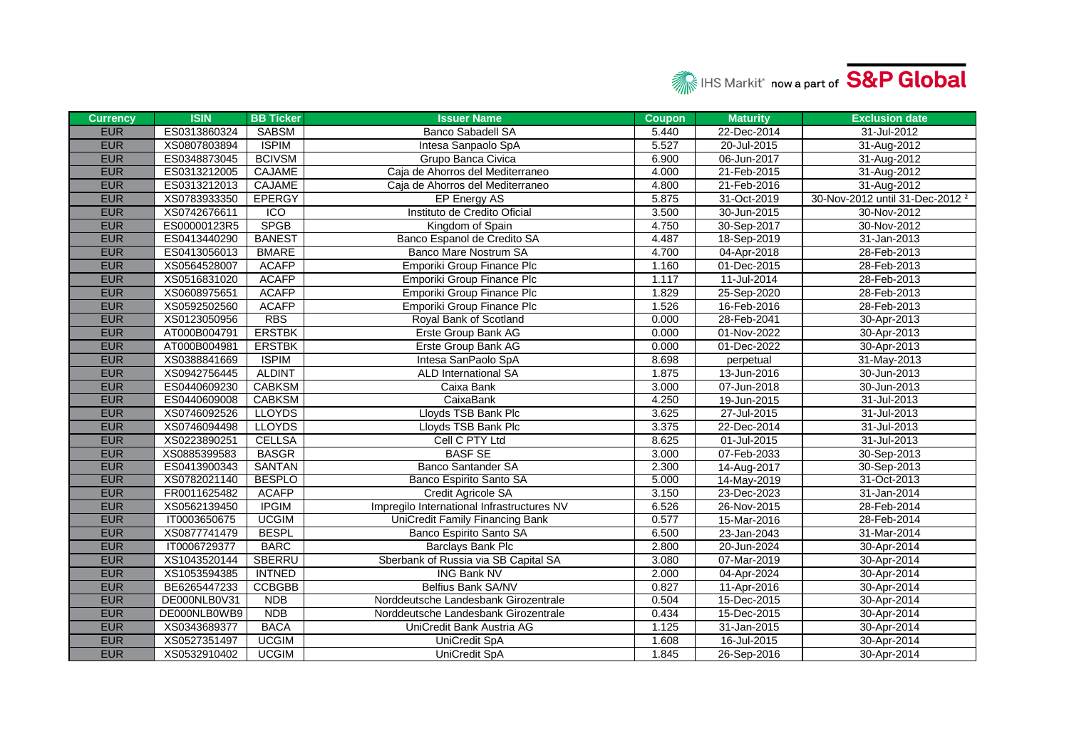

| <b>Currency</b> | <b>ISIN</b>  | <b>BB Ticker</b> | <b>Issuer Name</b>                         | <b>Coupon</b> | <b>Maturity</b> | <b>Exclusion date</b>                      |
|-----------------|--------------|------------------|--------------------------------------------|---------------|-----------------|--------------------------------------------|
| <b>EUR</b>      | ES0313860324 | <b>SABSM</b>     | <b>Banco Sabadell SA</b>                   | 5.440         | 22-Dec-2014     | 31-Jul-2012                                |
| <b>EUR</b>      | XS0807803894 | <b>ISPIM</b>     | Intesa Sanpaolo SpA                        | 5.527         | 20-Jul-2015     | 31-Aug-2012                                |
| <b>EUR</b>      | ES0348873045 | <b>BCIVSM</b>    | Grupo Banca Civica                         | 6.900         | 06-Jun-2017     | 31-Aug-2012                                |
| <b>EUR</b>      | ES0313212005 | CAJAME           | Caia de Ahorros del Mediterraneo           | 4.000         | 21-Feb-2015     | 31-Aug-2012                                |
| <b>EUR</b>      | ES0313212013 | CAJAME           | Caja de Ahorros del Mediterraneo           | 4.800         | 21-Feb-2016     | 31-Aug-2012                                |
| <b>EUR</b>      | XS0783933350 | <b>EPERGY</b>    | <b>EP Energy AS</b>                        | 5.875         | 31-Oct-2019     | 30-Nov-2012 until 31-Dec-2012 <sup>2</sup> |
| <b>EUR</b>      | XS0742676611 | ICO              | Instituto de Credito Oficial               | 3.500         | 30-Jun-2015     | 30-Nov-2012                                |
| <b>EUR</b>      | ES00000123R5 | <b>SPGB</b>      | Kingdom of Spain                           | 4.750         | 30-Sep-2017     | 30-Nov-2012                                |
| <b>EUR</b>      | ES0413440290 | <b>BANEST</b>    | Banco Espanol de Credito SA                | 4.487         | 18-Sep-2019     | 31-Jan-2013                                |
| <b>EUR</b>      | ES0413056013 | <b>BMARE</b>     | Banco Mare Nostrum SA                      | 4.700         | 04-Apr-2018     | 28-Feb-2013                                |
| <b>EUR</b>      | XS0564528007 | <b>ACAFP</b>     | Emporiki Group Finance Plc                 | 1.160         | 01-Dec-2015     | 28-Feb-2013                                |
| <b>EUR</b>      | XS0516831020 | <b>ACAFP</b>     | Emporiki Group Finance Plc                 | 1.117         | 11-Jul-2014     | 28-Feb-2013                                |
| <b>EUR</b>      | XS0608975651 | <b>ACAFP</b>     | Emporiki Group Finance Plc                 | 1.829         | 25-Sep-2020     | 28-Feb-2013                                |
| <b>EUR</b>      | XS0592502560 | <b>ACAFP</b>     | <b>Emporiki Group Finance Plc</b>          | 1.526         | 16-Feb-2016     | 28-Feb-2013                                |
| <b>EUR</b>      | XS0123050956 | <b>RBS</b>       | Royal Bank of Scotland                     | 0.000         | 28-Feb-2041     | 30-Apr-2013                                |
| <b>EUR</b>      | AT000B004791 | <b>ERSTBK</b>    | Erste Group Bank AG                        | 0.000         | 01-Nov-2022     | 30-Apr-2013                                |
| <b>EUR</b>      | AT000B004981 | <b>ERSTBK</b>    | Erste Group Bank AG                        | 0.000         | 01-Dec-2022     | 30-Apr-2013                                |
| <b>EUR</b>      | XS0388841669 | <b>ISPIM</b>     | Intesa SanPaolo SpA                        | 8.698         | perpetual       | 31-May-2013                                |
| <b>EUR</b>      | XS0942756445 | <b>ALDINT</b>    | ALD International SA                       | 1.875         | 13-Jun-2016     | 30-Jun-2013                                |
| <b>EUR</b>      | ES0440609230 | <b>CABKSM</b>    | Caixa Bank                                 | 3.000         | 07-Jun-2018     | 30-Jun-2013                                |
| <b>EUR</b>      | ES0440609008 | <b>CABKSM</b>    | CaixaBank                                  | 4.250         | 19-Jun-2015     | 31-Jul-2013                                |
| <b>EUR</b>      | XS0746092526 | <b>LLOYDS</b>    | Lloyds TSB Bank Plc                        | 3.625         | 27-Jul-2015     | 31-Jul-2013                                |
| <b>EUR</b>      | XS0746094498 | <b>LLOYDS</b>    | Lloyds TSB Bank Plc                        | 3.375         | 22-Dec-2014     | 31-Jul-2013                                |
| <b>EUR</b>      | XS0223890251 | <b>CELLSA</b>    | Cell C PTY Ltd                             | 8.625         | 01-Jul-2015     | 31-Jul-2013                                |
| <b>EUR</b>      | XS0885399583 | <b>BASGR</b>     | <b>BASF SE</b>                             | 3.000         | 07-Feb-2033     | 30-Sep-2013                                |
| <b>EUR</b>      | ES0413900343 | <b>SANTAN</b>    | <b>Banco Santander SA</b>                  | 2.300         | 14-Aug-2017     | 30-Sep-2013                                |
| <b>EUR</b>      | XS0782021140 | <b>BESPLO</b>    | Banco Espirito Santo SA                    | 5.000         | 14-May-2019     | 31-Oct-2013                                |
| <b>EUR</b>      | FR0011625482 | <b>ACAFP</b>     | Credit Agricole SA                         | 3.150         | 23-Dec-2023     | 31-Jan-2014                                |
| <b>EUR</b>      | XS0562139450 | <b>IPGIM</b>     | Impregilo International Infrastructures NV | 6.526         | 26-Nov-2015     | 28-Feb-2014                                |
| <b>EUR</b>      | IT0003650675 | <b>UCGIM</b>     | UniCredit Family Financing Bank            | 0.577         | 15-Mar-2016     | 28-Feb-2014                                |
| <b>EUR</b>      | XS0877741479 | <b>BESPL</b>     | Banco Espirito Santo SA                    | 6.500         | 23-Jan-2043     | 31-Mar-2014                                |
| <b>EUR</b>      | IT0006729377 | <b>BARC</b>      | <b>Barclays Bank Plc</b>                   | 2.800         | 20-Jun-2024     | 30-Apr-2014                                |
| <b>EUR</b>      | XS1043520144 | SBERRU           | Sberbank of Russia via SB Capital SA       | 3.080         | 07-Mar-2019     | 30-Apr-2014                                |
| <b>EUR</b>      | XS1053594385 | <b>INTNED</b>    | <b>ING Bank NV</b>                         | 2.000         | 04-Apr-2024     | 30-Apr-2014                                |
| <b>EUR</b>      | BE6265447233 | <b>CCBGBB</b>    | Belfius Bank SA/NV                         | 0.827         | 11-Apr-2016     | 30-Apr-2014                                |
| <b>EUR</b>      | DE000NLB0V31 | <b>NDB</b>       | Norddeutsche Landesbank Girozentrale       | 0.504         | 15-Dec-2015     | 30-Apr-2014                                |
| <b>EUR</b>      | DE000NLB0WB9 | <b>NDB</b>       | Norddeutsche Landesbank Girozentrale       | 0.434         | 15-Dec-2015     | 30-Apr-2014                                |
| <b>EUR</b>      | XS0343689377 | <b>BACA</b>      | UniCredit Bank Austria AG                  | 1.125         | 31-Jan-2015     | 30-Apr-2014                                |
| <b>EUR</b>      | XS0527351497 | <b>UCGIM</b>     | UniCredit SpA                              | 1.608         | 16-Jul-2015     | 30-Apr-2014                                |
| <b>EUR</b>      | XS0532910402 | <b>UCGIM</b>     | <b>UniCredit SpA</b>                       | 1.845         | 26-Sep-2016     | 30-Apr-2014                                |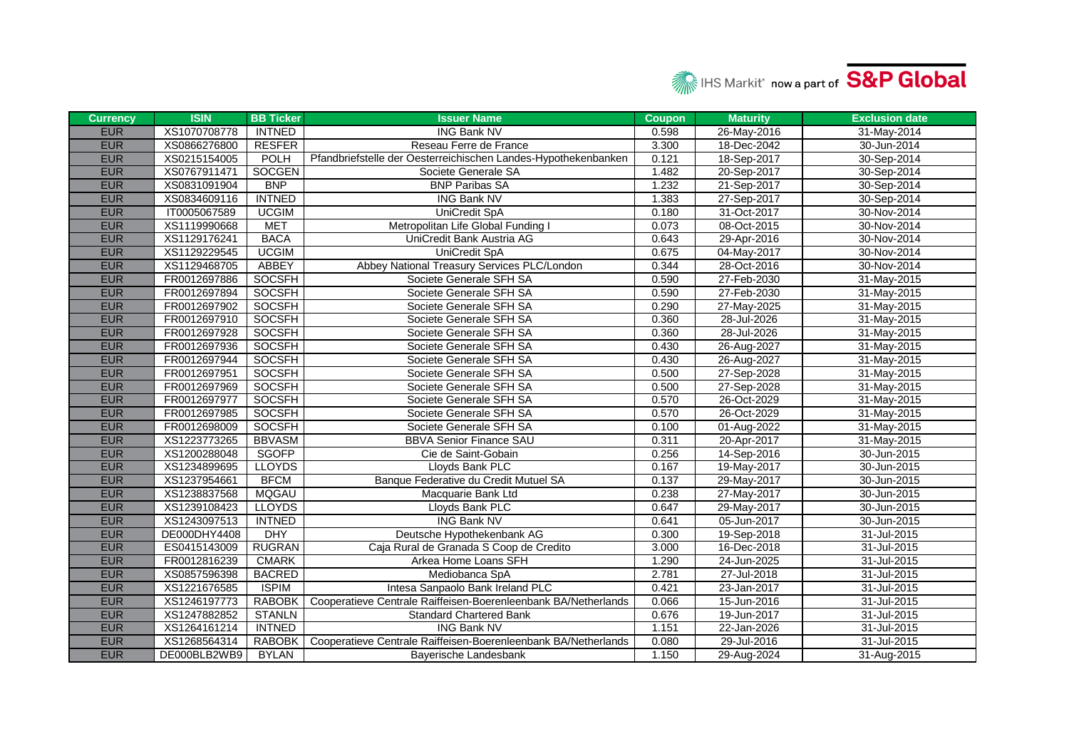

| <b>Currency</b> | <b>ISIN</b>  | <b>BB Ticker</b> | <b>Issuer Name</b>                                             | <b>Coupon</b> | <b>Maturity</b> | <b>Exclusion date</b> |
|-----------------|--------------|------------------|----------------------------------------------------------------|---------------|-----------------|-----------------------|
| <b>EUR</b>      | XS1070708778 | <b>INTNED</b>    | <b>ING Bank NV</b>                                             | 0.598         | 26-May-2016     | 31-May-2014           |
| <b>EUR</b>      | XS0866276800 | <b>RESFER</b>    | Reseau Ferre de France                                         | 3.300         | 18-Dec-2042     | 30-Jun-2014           |
| <b>EUR</b>      | XS0215154005 | <b>POLH</b>      | Pfandbriefstelle der Oesterreichischen Landes-Hypothekenbanken | 0.121         | 18-Sep-2017     | 30-Sep-2014           |
| <b>EUR</b>      | XS0767911471 | <b>SOCGEN</b>    | Societe Generale SA                                            | 1.482         | 20-Sep-2017     | 30-Sep-2014           |
| <b>EUR</b>      | XS0831091904 | <b>BNP</b>       | <b>BNP Paribas SA</b>                                          | 1.232         | 21-Sep-2017     | 30-Sep-2014           |
| <b>EUR</b>      | XS0834609116 | <b>INTNED</b>    | <b>ING Bank NV</b>                                             | 1.383         | 27-Sep-2017     | 30-Sep-2014           |
| <b>EUR</b>      | IT0005067589 | <b>UCGIM</b>     | <b>UniCredit SpA</b>                                           | 0.180         | 31-Oct-2017     | 30-Nov-2014           |
| <b>EUR</b>      | XS1119990668 | <b>MET</b>       | Metropolitan Life Global Funding I                             | 0.073         | 08-Oct-2015     | 30-Nov-2014           |
| <b>EUR</b>      | XS1129176241 | <b>BACA</b>      | UniCredit Bank Austria AG                                      | 0.643         | 29-Apr-2016     | 30-Nov-2014           |
| <b>EUR</b>      | XS1129229545 | <b>UCGIM</b>     | UniCredit SpA                                                  | 0.675         | 04-May-2017     | 30-Nov-2014           |
| <b>EUR</b>      | XS1129468705 | ABBEY            | Abbey National Treasury Services PLC/London                    | 0.344         | 28-Oct-2016     | 30-Nov-2014           |
| <b>EUR</b>      | FR0012697886 | <b>SOCSFH</b>    | Societe Generale SFH SA                                        | 0.590         | 27-Feb-2030     | 31-May-2015           |
| <b>EUR</b>      | FR0012697894 | <b>SOCSFH</b>    | Societe Generale SFH SA                                        | 0.590         | 27-Feb-2030     | 31-May-2015           |
| <b>EUR</b>      | FR0012697902 | <b>SOCSFH</b>    | Societe Generale SFH SA                                        | 0.290         | 27-May-2025     | 31-May-2015           |
| <b>EUR</b>      | FR0012697910 | SOCSFH           | Societe Generale SFH SA                                        | 0.360         | 28-Jul-2026     | 31-May-2015           |
| <b>EUR</b>      | FR0012697928 | SOCSFH           | Societe Generale SFH SA                                        | 0.360         | 28-Jul-2026     | 31-May-2015           |
| <b>EUR</b>      | FR0012697936 | <b>SOCSFH</b>    | Societe Generale SFH SA                                        | 0.430         | 26-Aug-2027     | 31-May-2015           |
| <b>EUR</b>      | FR0012697944 | <b>SOCSFH</b>    | Societe Generale SFH SA                                        | 0.430         | 26-Aug-2027     | 31-May-2015           |
| <b>EUR</b>      | FR0012697951 | <b>SOCSFH</b>    | Societe Generale SFH SA                                        | 0.500         | 27-Sep-2028     | 31-May-2015           |
| <b>EUR</b>      | FR0012697969 | SOCSFH           | Societe Generale SFH SA                                        | 0.500         | 27-Sep-2028     | 31-May-2015           |
| <b>EUR</b>      | FR0012697977 | <b>SOCSFH</b>    | Societe Generale SFH SA                                        | 0.570         | 26-Oct-2029     | 31-May-2015           |
| <b>EUR</b>      | FR0012697985 | SOCSFH           | Societe Generale SFH SA                                        | 0.570         | 26-Oct-2029     | 31-May-2015           |
| <b>EUR</b>      | FR0012698009 | SOCSFH           | Societe Generale SFH SA                                        | 0.100         | 01-Aug-2022     | 31-May-2015           |
| <b>EUR</b>      | XS1223773265 | <b>BBVASM</b>    | <b>BBVA Senior Finance SAU</b>                                 | 0.311         | 20-Apr-2017     | 31-May-2015           |
| <b>EUR</b>      | XS1200288048 | <b>SGOFP</b>     | Cie de Saint-Gobain                                            | 0.256         | 14-Sep-2016     | 30-Jun-2015           |
| <b>EUR</b>      | XS1234899695 | <b>LLOYDS</b>    | Lloyds Bank PLC                                                | 0.167         | 19-May-2017     | 30-Jun-2015           |
| <b>EUR</b>      | XS1237954661 | <b>BFCM</b>      | Banque Federative du Credit Mutuel SA                          | 0.137         | 29-May-2017     | 30-Jun-2015           |
| <b>EUR</b>      | XS1238837568 | <b>MQGAU</b>     | Macquarie Bank Ltd                                             | 0.238         | 27-May-2017     | 30-Jun-2015           |
| <b>EUR</b>      | XS1239108423 | <b>LLOYDS</b>    | Lloyds Bank PLC                                                | 0.647         | 29-May-2017     | 30-Jun-2015           |
| <b>EUR</b>      | XS1243097513 | <b>INTNED</b>    | <b>ING Bank NV</b>                                             | 0.641         | 05-Jun-2017     | 30-Jun-2015           |
| <b>EUR</b>      | DE000DHY4408 | <b>DHY</b>       | Deutsche Hypothekenbank AG                                     | 0.300         | 19-Sep-2018     | 31-Jul-2015           |
| <b>EUR</b>      | ES0415143009 | <b>RUGRAN</b>    | Caja Rural de Granada S Coop de Credito                        | 3.000         | 16-Dec-2018     | 31-Jul-2015           |
| <b>EUR</b>      | FR0012816239 | <b>CMARK</b>     | Arkea Home Loans SFH                                           | 1.290         | 24-Jun-2025     | 31-Jul-2015           |
| <b>EUR</b>      | XS0857596398 | <b>BACRED</b>    | Mediobanca SpA                                                 | 2.781         | 27-Jul-2018     | 31-Jul-2015           |
| <b>EUR</b>      | XS1221676585 | <b>ISPIM</b>     | Intesa Sanpaolo Bank Ireland PLC                               | 0.421         | 23-Jan-2017     | $31 -$ Jul-2015       |
| <b>EUR</b>      | XS1246197773 | <b>RABOBK</b>    | Cooperatieve Centrale Raiffeisen-Boerenleenbank BA/Netherlands | 0.066         | 15-Jun-2016     | 31-Jul-2015           |
| <b>EUR</b>      | XS1247882852 | <b>STANLN</b>    | <b>Standard Chartered Bank</b>                                 | 0.676         | 19-Jun-2017     | 31-Jul-2015           |
| <b>EUR</b>      | XS1264161214 | <b>INTNED</b>    | <b>ING Bank NV</b>                                             | 1.151         | 22-Jan-2026     | 31-Jul-2015           |
| <b>EUR</b>      | XS1268564314 | RABOBK           | Cooperatieve Centrale Raiffeisen-Boerenleenbank BA/Netherlands | 0.080         | 29-Jul-2016     | 31-Jul-2015           |
| <b>EUR</b>      | DE000BLB2WB9 | <b>BYLAN</b>     | Bayerische Landesbank                                          | 1.150         | 29-Aug-2024     | 31-Aug-2015           |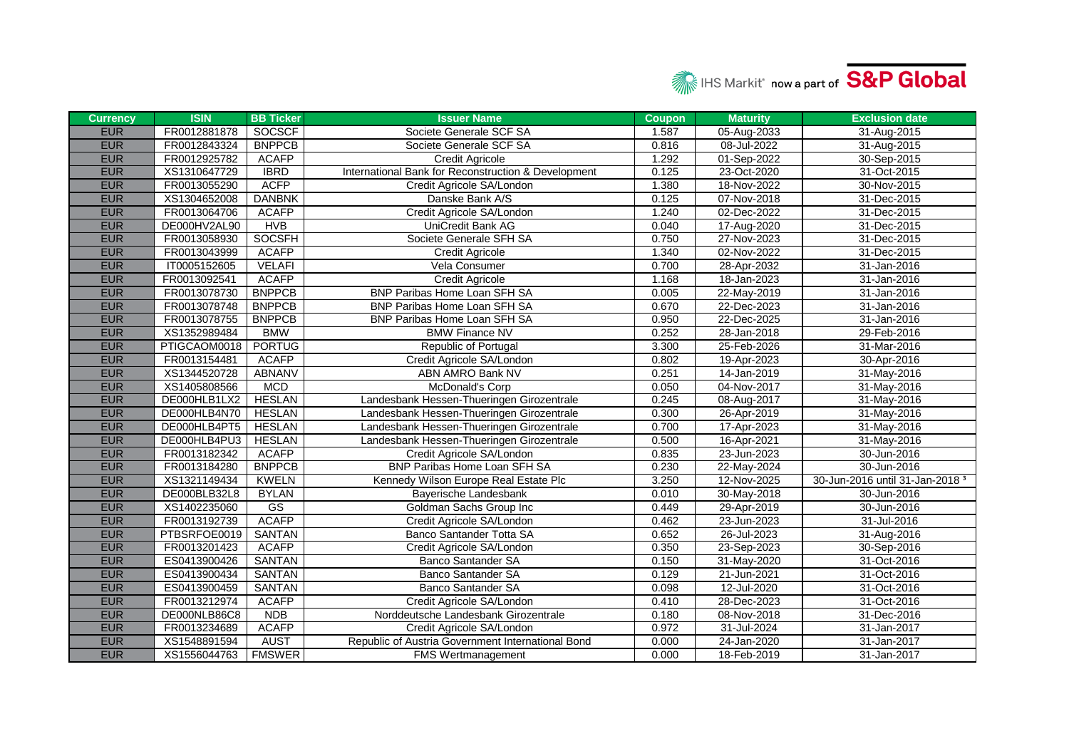

| <b>Currency</b> | <b>ISIN</b>  | <b>BB Ticker</b> | <b>Issuer Name</b>                                  | <b>Coupon</b> | <b>Maturity</b>   | <b>Exclusion date</b>                      |
|-----------------|--------------|------------------|-----------------------------------------------------|---------------|-------------------|--------------------------------------------|
| <b>EUR</b>      | FR0012881878 | SOCSCF           | Societe Generale SCF SA                             | 1.587         | 05-Aug-2033       | 31-Aug-2015                                |
| <b>EUR</b>      | FR0012843324 | <b>BNPPCB</b>    | Societe Generale SCF SA                             | 0.816         | 08-Jul-2022       | 31-Aug-2015                                |
| <b>EUR</b>      | FR0012925782 | <b>ACAFP</b>     | <b>Credit Agricole</b>                              | 1.292         | 01-Sep-2022       | 30-Sep-2015                                |
| <b>EUR</b>      | XS1310647729 | <b>IBRD</b>      | International Bank for Reconstruction & Development | 0.125         | 23-Oct-2020       | 31-Oct-2015                                |
| <b>EUR</b>      | FR0013055290 | <b>ACFP</b>      | Credit Agricole SA/London                           | 1.380         | 18-Nov-2022       | 30-Nov-2015                                |
| <b>EUR</b>      | XS1304652008 | <b>DANBNK</b>    | Danske Bank A/S                                     | 0.125         | 07-Nov-2018       | 31-Dec-2015                                |
| <b>EUR</b>      | FR0013064706 | <b>ACAFP</b>     | Credit Agricole SA/London                           | 1.240         | 02-Dec-2022       | 31-Dec-2015                                |
| <b>EUR</b>      | DE000HV2AL90 | <b>HVB</b>       | UniCredit Bank AG                                   | 0.040         | 17-Aug-2020       | 31-Dec-2015                                |
| <b>EUR</b>      | FR0013058930 | <b>SOCSFH</b>    | Societe Generale SFH SA                             | 0.750         | 27-Nov-2023       | 31-Dec-2015                                |
| <b>EUR</b>      | FR0013043999 | <b>ACAFP</b>     | Credit Agricole                                     | 1.340         | 02-Nov-2022       | 31-Dec-2015                                |
| <b>EUR</b>      | IT0005152605 | <b>VELAFI</b>    | Vela Consumer                                       | 0.700         | 28-Apr-2032       | 31-Jan-2016                                |
| <b>EUR</b>      | FR0013092541 | <b>ACAFP</b>     | <b>Credit Agricole</b>                              | 1.168         | 18-Jan-2023       | 31-Jan-2016                                |
| <b>EUR</b>      | FR0013078730 | <b>BNPPCB</b>    | BNP Paribas Home Loan SFH SA                        | 0.005         | 22-May-2019       | 31-Jan-2016                                |
| <b>EUR</b>      | FR0013078748 | <b>BNPPCB</b>    | BNP Paribas Home Loan SFH SA                        | 0.670         | 22-Dec-2023       | 31-Jan-2016                                |
| <b>EUR</b>      | FR0013078755 | <b>BNPPCB</b>    | BNP Paribas Home Loan SFH SA                        | 0.950         | 22-Dec-2025       | 31-Jan-2016                                |
| <b>EUR</b>      | XS1352989484 | <b>BMW</b>       | <b>BMW Finance NV</b>                               | 0.252         | 28-Jan-2018       | 29-Feb-2016                                |
| <b>EUR</b>      | PTIGCAOM0018 | <b>PORTUG</b>    | Republic of Portugal                                | 3.300         | 25-Feb-2026       | 31-Mar-2016                                |
| <b>EUR</b>      | FR0013154481 | <b>ACAFP</b>     | Credit Agricole SA/London                           | 0.802         | 19-Apr-2023       | 30-Apr-2016                                |
| <b>EUR</b>      | XS1344520728 | <b>ABNANV</b>    | ABN AMRO Bank NV                                    | 0.251         | $14 - Jan - 2019$ | 31-May-2016                                |
| <b>EUR</b>      | XS1405808566 | <b>MCD</b>       | McDonald's Corp                                     | 0.050         | 04-Nov-2017       | 31-May-2016                                |
| <b>EUR</b>      | DE000HLB1LX2 | <b>HESLAN</b>    | Landesbank Hessen-Thueringen Girozentrale           | 0.245         | 08-Aug-2017       | 31-May-2016                                |
| <b>EUR</b>      | DE000HLB4N70 | <b>HESLAN</b>    | Landesbank Hessen-Thueringen Girozentrale           | 0.300         | 26-Apr-2019       | 31-May-2016                                |
| <b>EUR</b>      | DE000HLB4PT5 | <b>HESLAN</b>    | Landesbank Hessen-Thueringen Girozentrale           | 0.700         | 17-Apr-2023       | 31-May-2016                                |
| <b>EUR</b>      | DE000HLB4PU3 | <b>HESLAN</b>    | Landesbank Hessen-Thueringen Girozentrale           | 0.500         | 16-Apr-2021       | 31-May-2016                                |
| <b>EUR</b>      | FR0013182342 | <b>ACAFP</b>     | Credit Agricole SA/London                           | 0.835         | 23-Jun-2023       | 30-Jun-2016                                |
| <b>EUR</b>      | FR0013184280 | <b>BNPPCB</b>    | <b>BNP Paribas Home Loan SFH SA</b>                 | 0.230         | 22-May-2024       | 30-Jun-2016                                |
| <b>EUR</b>      | XS1321149434 | <b>KWELN</b>     | Kennedy Wilson Europe Real Estate Plc               | 3.250         | 12-Nov-2025       | 30-Jun-2016 until 31-Jan-2018 <sup>3</sup> |
| <b>EUR</b>      | DE000BLB32L8 | <b>BYLAN</b>     | Bayerische Landesbank                               | 0.010         | 30-May-2018       | 30-Jun-2016                                |
| <b>EUR</b>      | XS1402235060 | GS               | Goldman Sachs Group Inc                             | 0.449         | 29-Apr-2019       | 30-Jun-2016                                |
| <b>EUR</b>      | FR0013192739 | <b>ACAFP</b>     | Credit Agricole SA/London                           | 0.462         | 23-Jun-2023       | 31-Jul-2016                                |
| <b>EUR</b>      | PTBSRFOE0019 | SANTAN           | Banco Santander Totta SA                            | 0.652         | 26-Jul-2023       | 31-Aug-2016                                |
| <b>EUR</b>      | FR0013201423 | <b>ACAFP</b>     | Credit Agricole SA/London                           | 0.350         | 23-Sep-2023       | 30-Sep-2016                                |
| <b>EUR</b>      | ES0413900426 | <b>SANTAN</b>    | <b>Banco Santander SA</b>                           | 0.150         | 31-May-2020       | 31-Oct-2016                                |
| <b>EUR</b>      | ES0413900434 | SANTAN           | <b>Banco Santander SA</b>                           | 0.129         | 21-Jun-2021       | 31-Oct-2016                                |
| <b>EUR</b>      | ES0413900459 | SANTAN           | <b>Banco Santander SA</b>                           | 0.098         | 12-Jul-2020       | 31-Oct-2016                                |
| <b>EUR</b>      | FR0013212974 | <b>ACAFP</b>     | Credit Agricole SA/London                           | 0.410         | 28-Dec-2023       | 31-Oct-2016                                |
| <b>EUR</b>      | DE000NLB86C8 | <b>NDB</b>       | Norddeutsche Landesbank Girozentrale                | 0.180         | 08-Nov-2018       | 31-Dec-2016                                |
| <b>EUR</b>      | FR0013234689 | <b>ACAFP</b>     | Credit Agricole SA/London                           | 0.972         | 31-Jul-2024       | 31-Jan-2017                                |
| <b>EUR</b>      | XS1548891594 | <b>AUST</b>      | Republic of Austria Government International Bond   | 0.000         | 24-Jan-2020       | 31-Jan-2017                                |
| <b>EUR</b>      | XS1556044763 | <b>FMSWER</b>    | <b>FMS Wertmanagement</b>                           | 0.000         | 18-Feb-2019       | 31-Jan-2017                                |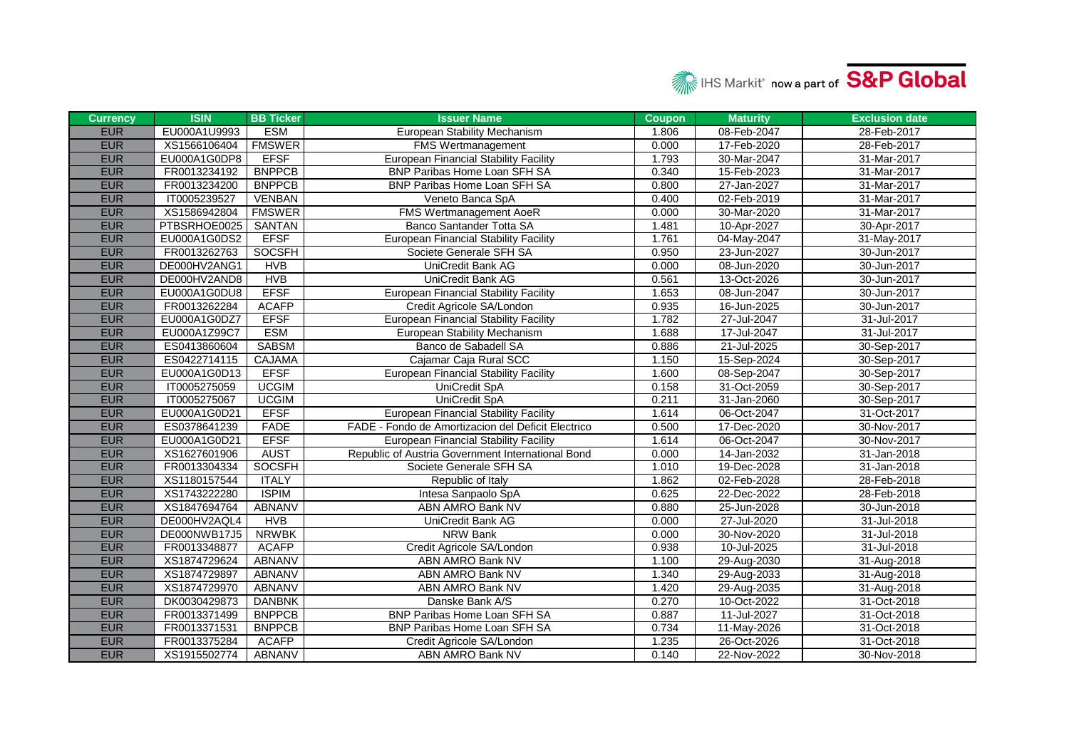

| <b>Currency</b> | <b>ISIN</b>  | <b>BB Ticker</b> | <b>Issuer Name</b>                                 | <b>Coupon</b> | <b>Maturity</b> | <b>Exclusion date</b> |
|-----------------|--------------|------------------|----------------------------------------------------|---------------|-----------------|-----------------------|
| <b>EUR</b>      | EU000A1U9993 | <b>ESM</b>       | European Stability Mechanism                       | 1.806         | 08-Feb-2047     | 28-Feb-2017           |
| <b>EUR</b>      | XS1566106404 | <b>FMSWER</b>    | <b>FMS Wertmanagement</b>                          | 0.000         | 17-Feb-2020     | 28-Feb-2017           |
| <b>EUR</b>      | EU000A1G0DP8 | <b>EFSF</b>      | <b>European Financial Stability Facility</b>       | 1.793         | 30-Mar-2047     | 31-Mar-2017           |
| <b>EUR</b>      | FR0013234192 | <b>BNPPCB</b>    | <b>BNP Paribas Home Loan SFH SA</b>                | 0.340         | 15-Feb-2023     | 31-Mar-2017           |
| <b>EUR</b>      | FR0013234200 | <b>BNPPCB</b>    | BNP Paribas Home Loan SFH SA                       | 0.800         | 27-Jan-2027     | 31-Mar-2017           |
| <b>EUR</b>      | IT0005239527 | <b>VENBAN</b>    | Veneto Banca SpA                                   | 0.400         | 02-Feb-2019     | 31-Mar-2017           |
| <b>EUR</b>      | XS1586942804 | <b>FMSWER</b>    | <b>FMS Wertmanagement AoeR</b>                     | 0.000         | 30-Mar-2020     | 31-Mar-2017           |
| <b>EUR</b>      | PTBSRHOE0025 | <b>SANTAN</b>    | Banco Santander Totta SA                           | 1.481         | 10-Apr-2027     | 30-Apr-2017           |
| <b>EUR</b>      | EU000A1G0DS2 | <b>EFSF</b>      | <b>European Financial Stability Facility</b>       | 1.761         | 04-May-2047     | 31-May-2017           |
| <b>EUR</b>      | FR0013262763 | SOCSFH           | Societe Generale SFH SA                            | 0.950         | 23-Jun-2027     | 30-Jun-2017           |
| <b>EUR</b>      | DE000HV2ANG1 | <b>HVB</b>       | UniCredit Bank AG                                  | 0.000         | 08-Jun-2020     | 30-Jun-2017           |
| <b>EUR</b>      | DE000HV2AND8 | <b>HVB</b>       | UniCredit Bank AG                                  | 0.561         | 13-Oct-2026     | 30-Jun-2017           |
| <b>EUR</b>      | EU000A1G0DU8 | <b>EFSF</b>      | <b>European Financial Stability Facility</b>       | 1.653         | 08-Jun-2047     | 30-Jun-2017           |
| <b>EUR</b>      | FR0013262284 | <b>ACAFP</b>     | Credit Agricole SA/London                          | 0.935         | 16-Jun-2025     | 30-Jun-2017           |
| <b>EUR</b>      | EU000A1G0DZ7 | <b>EFSF</b>      | <b>European Financial Stability Facility</b>       | 1.782         | 27-Jul-2047     | 31-Jul-2017           |
| <b>EUR</b>      | EU000A1Z99C7 | <b>ESM</b>       | European Stability Mechanism                       | 1.688         | 17-Jul-2047     | 31-Jul-2017           |
| <b>EUR</b>      | ES0413860604 | <b>SABSM</b>     | Banco de Sabadell SA                               | 0.886         | 21-Jul-2025     | 30-Sep-2017           |
| <b>EUR</b>      | ES0422714115 | <b>CAJAMA</b>    | Cajamar Caja Rural SCC                             | 1.150         | 15-Sep-2024     | 30-Sep-2017           |
| <b>EUR</b>      | EU000A1G0D13 | <b>EFSF</b>      | <b>European Financial Stability Facility</b>       | 1.600         | 08-Sep-2047     | 30-Sep-2017           |
| <b>EUR</b>      | IT0005275059 | <b>UCGIM</b>     | UniCredit SpA                                      | 0.158         | 31-Oct-2059     | 30-Sep-2017           |
| <b>EUR</b>      | IT0005275067 | <b>UCGIM</b>     | UniCredit SpA                                      | 0.211         | 31-Jan-2060     | 30-Sep-2017           |
| <b>EUR</b>      | EU000A1G0D21 | <b>EFSF</b>      | <b>European Financial Stability Facility</b>       | 1.614         | 06-Oct-2047     | 31-Oct-2017           |
| <b>EUR</b>      | ES0378641239 | <b>FADE</b>      | FADE - Fondo de Amortizacion del Deficit Electrico | 0.500         | 17-Dec-2020     | 30-Nov-2017           |
| <b>EUR</b>      | EU000A1G0D21 | <b>EFSF</b>      | <b>European Financial Stability Facility</b>       | 1.614         | 06-Oct-2047     | 30-Nov-2017           |
| <b>EUR</b>      | XS1627601906 | <b>AUST</b>      | Republic of Austria Government International Bond  | 0.000         | 14-Jan-2032     | 31-Jan-2018           |
| <b>EUR</b>      | FR0013304334 | <b>SOCSFH</b>    | Societe Generale SFH SA                            | 1.010         | 19-Dec-2028     | 31-Jan-2018           |
| <b>EUR</b>      | XS1180157544 | <b>ITALY</b>     | Republic of Italy                                  | 1.862         | 02-Feb-2028     | 28-Feb-2018           |
| <b>EUR</b>      | XS1743222280 | <b>ISPIM</b>     | Intesa Sanpaolo SpA                                | 0.625         | 22-Dec-2022     | 28-Feb-2018           |
| <b>EUR</b>      | XS1847694764 | ABNANV           | ABN AMRO Bank NV                                   | 0.880         | 25-Jun-2028     | 30-Jun-2018           |
| <b>EUR</b>      | DE000HV2AQL4 | <b>HVB</b>       | UniCredit Bank AG                                  | 0.000         | 27-Jul-2020     | 31-Jul-2018           |
| <b>EUR</b>      | DE000NWB17J5 | <b>NRWBK</b>     | NRW Bank                                           | 0.000         | 30-Nov-2020     | 31-Jul-2018           |
| <b>EUR</b>      | FR0013348877 | <b>ACAFP</b>     | Credit Agricole SA/London                          | 0.938         | 10-Jul-2025     | 31-Jul-2018           |
| <b>EUR</b>      | XS1874729624 | <b>ABNANV</b>    | ABN AMRO Bank NV                                   | 1.100         | 29-Aug-2030     | 31-Aug-2018           |
| <b>EUR</b>      | XS1874729897 | ABNANV           | ABN AMRO Bank NV                                   | 1.340         | 29-Aug-2033     | 31-Aug-2018           |
| <b>EUR</b>      | XS1874729970 | ABNANV           | ABN AMRO Bank NV                                   | 1.420         | 29-Aug-2035     | 31-Aug-2018           |
| <b>EUR</b>      | DK0030429873 | <b>DANBNK</b>    | Danske Bank A/S                                    | 0.270         | 10-Oct-2022     | 31-Oct-2018           |
| <b>EUR</b>      | FR0013371499 | <b>BNPPCB</b>    | BNP Paribas Home Loan SFH SA                       | 0.887         | 11-Jul-2027     | 31-Oct-2018           |
| <b>EUR</b>      | FR0013371531 | <b>BNPPCB</b>    | BNP Paribas Home Loan SFH SA                       | 0.734         | 11-May-2026     | 31-Oct-2018           |
| <b>EUR</b>      | FR0013375284 | <b>ACAFP</b>     | Credit Agricole SA/London                          | 1.235         | 26-Oct-2026     | 31-Oct-2018           |
| <b>EUR</b>      | XS1915502774 | <b>ABNANV</b>    | <b>ABN AMRO Bank NV</b>                            | 0.140         | 22-Nov-2022     | 30-Nov-2018           |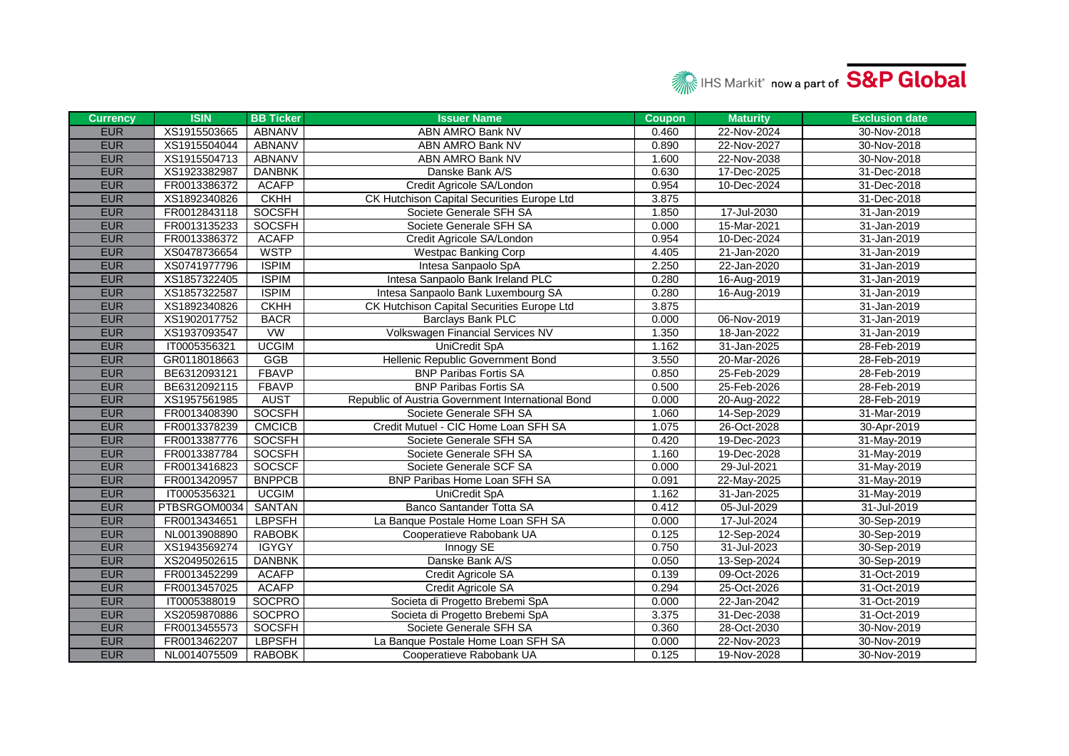

| <b>Currency</b> | <b>ISIN</b>  | <b>BB Ticker</b> | <b>Issuer Name</b>                                | <b>Coupon</b> | <b>Maturity</b> | <b>Exclusion date</b> |
|-----------------|--------------|------------------|---------------------------------------------------|---------------|-----------------|-----------------------|
| <b>EUR</b>      | XS1915503665 | ABNANV           | <b>ABN AMRO Bank NV</b>                           | 0.460         | 22-Nov-2024     | 30-Nov-2018           |
| <b>EUR</b>      | XS1915504044 | <b>ABNANV</b>    | ABN AMRO Bank NV                                  | 0.890         | 22-Nov-2027     | 30-Nov-2018           |
| <b>EUR</b>      | XS1915504713 | <b>ABNANV</b>    | ABN AMRO Bank NV                                  | 1.600         | 22-Nov-2038     | 30-Nov-2018           |
| <b>EUR</b>      | XS1923382987 | <b>DANBNK</b>    | Danske Bank A/S                                   | 0.630         | 17-Dec-2025     | 31-Dec-2018           |
| <b>EUR</b>      | FR0013386372 | <b>ACAFP</b>     | Credit Agricole SA/London                         | 0.954         | 10-Dec-2024     | 31-Dec-2018           |
| <b>EUR</b>      | XS1892340826 | <b>CKHH</b>      | CK Hutchison Capital Securities Europe Ltd        | 3.875         |                 | 31-Dec-2018           |
| <b>EUR</b>      | FR0012843118 | <b>SOCSFH</b>    | Societe Generale SFH SA                           | 1.850         | 17-Jul-2030     | 31-Jan-2019           |
| <b>EUR</b>      | FR0013135233 | <b>SOCSFH</b>    | Societe Generale SFH SA                           | 0.000         | 15-Mar-2021     | 31-Jan-2019           |
| <b>EUR</b>      | FR0013386372 | <b>ACAFP</b>     | Credit Agricole SA/London                         | 0.954         | 10-Dec-2024     | 31-Jan-2019           |
| <b>EUR</b>      | XS0478736654 | <b>WSTP</b>      | <b>Westpac Banking Corp</b>                       | 4.405         | 21-Jan-2020     | 31-Jan-2019           |
| <b>EUR</b>      | XS0741977796 | <b>ISPIM</b>     | Intesa Sanpaolo SpA                               | 2.250         | 22-Jan-2020     | 31-Jan-2019           |
| <b>EUR</b>      | XS1857322405 | <b>ISPIM</b>     | Intesa Sanpaolo Bank Ireland PLC                  | 0.280         | 16-Aug-2019     | 31-Jan-2019           |
| <b>EUR</b>      | XS1857322587 | <b>ISPIM</b>     | Intesa Sanpaolo Bank Luxembourg SA                | 0.280         | 16-Aug-2019     | 31-Jan-2019           |
| <b>EUR</b>      | XS1892340826 | <b>CKHH</b>      | CK Hutchison Capital Securities Europe Ltd        | 3.875         |                 | 31-Jan-2019           |
| <b>EUR</b>      | XS1902017752 | <b>BACR</b>      | <b>Barclays Bank PLC</b>                          | 0.000         | 06-Nov-2019     | 31-Jan-2019           |
| <b>EUR</b>      | XS1937093547 | VW               | Volkswagen Financial Services NV                  | 1.350         | 18-Jan-2022     | 31-Jan-2019           |
| <b>EUR</b>      | IT0005356321 | <b>UCGIM</b>     | <b>UniCredit SpA</b>                              | 1.162         | 31-Jan-2025     | 28-Feb-2019           |
| <b>EUR</b>      | GR0118018663 | <b>GGB</b>       | Hellenic Republic Government Bond                 | 3.550         | 20-Mar-2026     | 28-Feb-2019           |
| <b>EUR</b>      | BE6312093121 | <b>FBAVP</b>     | <b>BNP Paribas Fortis SA</b>                      | 0.850         | 25-Feb-2029     | 28-Feb-2019           |
| <b>EUR</b>      | BE6312092115 | <b>FBAVP</b>     | <b>BNP Paribas Fortis SA</b>                      | 0.500         | 25-Feb-2026     | 28-Feb-2019           |
| <b>EUR</b>      | XS1957561985 | <b>AUST</b>      | Republic of Austria Government International Bond | 0.000         | 20-Aug-2022     | 28-Feb-2019           |
| <b>EUR</b>      | FR0013408390 | <b>SOCSFH</b>    | Societe Generale SFH SA                           | 1.060         | 14-Sep-2029     | 31-Mar-2019           |
| <b>EUR</b>      | FR0013378239 | <b>CMCICB</b>    | Credit Mutuel - CIC Home Loan SFH SA              | 1.075         | 26-Oct-2028     | 30-Apr-2019           |
| <b>EUR</b>      | FR0013387776 | <b>SOCSFH</b>    | Societe Generale SFH SA                           | 0.420         | 19-Dec-2023     | 31-May-2019           |
| <b>EUR</b>      | FR0013387784 | <b>SOCSFH</b>    | Societe Generale SFH SA                           | 1.160         | 19-Dec-2028     | 31-May-2019           |
| <b>EUR</b>      | FR0013416823 | SOCSCF           | Societe Generale SCF SA                           | 0.000         | 29-Jul-2021     | 31-May-2019           |
| <b>EUR</b>      | FR0013420957 | <b>BNPPCB</b>    | BNP Paribas Home Loan SFH SA                      | 0.091         | 22-May-2025     | 31-May-2019           |
| <b>EUR</b>      | IT0005356321 | <b>UCGIM</b>     | <b>UniCredit SpA</b>                              | 1.162         | 31-Jan-2025     | 31-May-2019           |
| <b>EUR</b>      | PTBSRGOM0034 | <b>SANTAN</b>    | Banco Santander Totta SA                          | 0.412         | 05-Jul-2029     | 31-Jul-2019           |
| <b>EUR</b>      | FR0013434651 | <b>LBPSFH</b>    | La Banque Postale Home Loan SFH SA                | 0.000         | 17-Jul-2024     | 30-Sep-2019           |
| <b>EUR</b>      | NL0013908890 | <b>RABOBK</b>    | Cooperatieve Rabobank UA                          | 0.125         | 12-Sep-2024     | 30-Sep-2019           |
| <b>EUR</b>      | XS1943569274 | <b>IGYGY</b>     | Innogy SE                                         | 0.750         | 31-Jul-2023     | 30-Sep-2019           |
| <b>EUR</b>      | XS2049502615 | <b>DANBNK</b>    | Danske Bank A/S                                   | 0.050         | 13-Sep-2024     | 30-Sep-2019           |
| <b>EUR</b>      | FR0013452299 | <b>ACAFP</b>     | Credit Agricole SA                                | 0.139         | 09-Oct-2026     | 31-Oct-2019           |
| <b>EUR</b>      | FR0013457025 | <b>ACAFP</b>     | Credit Agricole SA                                | 0.294         | 25-Oct-2026     | 31-Oct-2019           |
| <b>EUR</b>      | IT0005388019 | SOCPRO           | Societa di Progetto Brebemi SpA                   | 0.000         | 22-Jan-2042     | 31-Oct-2019           |
| <b>EUR</b>      | XS2059870886 | SOCPRO           | Societa di Progetto Brebemi SpA                   | 3.375         | 31-Dec-2038     | 31-Oct-2019           |
| <b>EUR</b>      | FR0013455573 | <b>SOCSFH</b>    | Societe Generale SFH SA                           | 0.360         | 28-Oct-2030     | 30-Nov-2019           |
| <b>EUR</b>      | FR0013462207 | <b>LBPSFH</b>    | La Banque Postale Home Loan SFH SA                | 0.000         | 22-Nov-2023     | 30-Nov-2019           |
| <b>EUR</b>      | NL0014075509 | <b>RABOBK</b>    | Cooperatieve Rabobank UA                          | 0.125         | 19-Nov-2028     | 30-Nov-2019           |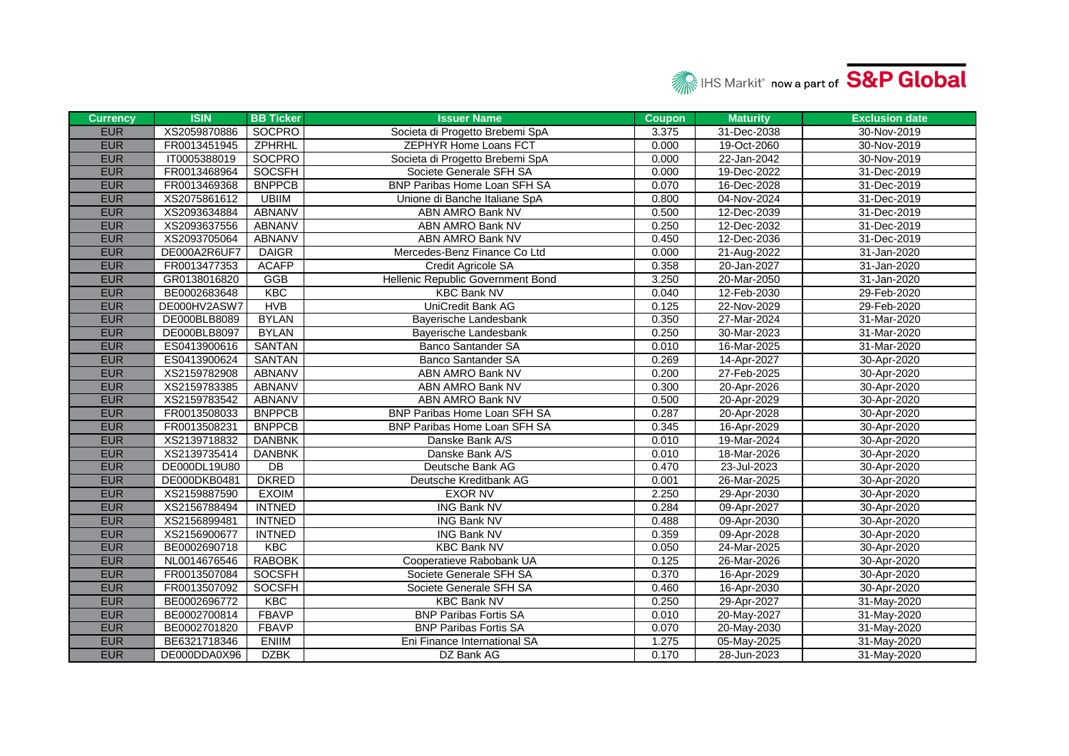

| <b>Currency</b> | <b>ISIN</b>  | <b>BB Ticker</b> | <b>Issuer Name</b>                | <b>Coupon</b> | <b>Maturity</b> | <b>Exclusion date</b> |
|-----------------|--------------|------------------|-----------------------------------|---------------|-----------------|-----------------------|
| <b>EUR</b>      | XS2059870886 | <b>SOCPRO</b>    | Societa di Progetto Brebemi SpA   | 3.375         | 31-Dec-2038     | 30-Nov-2019           |
| <b>EUR</b>      | FR0013451945 | <b>ZPHRHL</b>    | <b>ZEPHYR Home Loans FCT</b>      | 0.000         | 19-Oct-2060     | 30-Nov-2019           |
| <b>EUR</b>      | IT0005388019 | SOCPRO           | Societa di Progetto Brebemi SpA   | 0.000         | 22-Jan-2042     | 30-Nov-2019           |
| <b>EUR</b>      | FR0013468964 | <b>SOCSFH</b>    | Societe Generale SFH SA           | 0.000         | 19-Dec-2022     | 31-Dec-2019           |
| <b>EUR</b>      | FR0013469368 | <b>BNPPCB</b>    | BNP Paribas Home Loan SFH SA      | 0.070         | 16-Dec-2028     | 31-Dec-2019           |
| <b>EUR</b>      | XS2075861612 | <b>UBIIM</b>     | Unione di Banche Italiane SpA     | 0.800         | 04-Nov-2024     | 31-Dec-2019           |
| <b>EUR</b>      | XS2093634884 | <b>ABNANV</b>    | ABN AMRO Bank NV                  | 0.500         | 12-Dec-2039     | 31-Dec-2019           |
| <b>EUR</b>      | XS2093637556 | <b>ABNANV</b>    | ABN AMRO Bank NV                  | 0.250         | 12-Dec-2032     | 31-Dec-2019           |
| <b>EUR</b>      | XS2093705064 | ABNANV           | ABN AMRO Bank NV                  | 0.450         | 12-Dec-2036     | 31-Dec-2019           |
| <b>EUR</b>      | DE000A2R6UF7 | <b>DAIGR</b>     | Mercedes-Benz Finance Co Ltd      | 0.000         | 21-Aug-2022     | 31-Jan-2020           |
| <b>EUR</b>      | FR0013477353 | <b>ACAFP</b>     | Credit Agricole SA                | 0.358         | 20-Jan-2027     | 31-Jan-2020           |
| <b>EUR</b>      | GR0138016820 | GGB              | Hellenic Republic Government Bond | 3.250         | 20-Mar-2050     | 31-Jan-2020           |
| <b>EUR</b>      | BE0002683648 | KBC              | <b>KBC Bank NV</b>                | 0.040         | 12-Feb-2030     | 29-Feb-2020           |
| <b>EUR</b>      | DE000HV2ASW7 | <b>HVB</b>       | UniCredit Bank AG                 | 0.125         | 22-Nov-2029     | 29-Feb-2020           |
| <b>EUR</b>      | DE000BLB8089 | <b>BYLAN</b>     | Bayerische Landesbank             | 0.350         | 27-Mar-2024     | 31-Mar-2020           |
| <b>EUR</b>      | DE000BLB8097 | <b>BYLAN</b>     | Bayerische Landesbank             | 0.250         | 30-Mar-2023     | 31-Mar-2020           |
| <b>EUR</b>      | ES0413900616 | SANTAN           | Banco Santander SA                | 0.010         | 16-Mar-2025     | 31-Mar-2020           |
| <b>EUR</b>      | ES0413900624 | SANTAN           | <b>Banco Santander SA</b>         | 0.269         | 14-Apr-2027     | 30-Apr-2020           |
| <b>EUR</b>      | XS2159782908 | <b>ABNANV</b>    | ABN AMRO Bank NV                  | 0.200         | 27-Feb-2025     | 30-Apr-2020           |
| <b>EUR</b>      | XS2159783385 | ABNANV           | ABN AMRO Bank NV                  | 0.300         | 20-Apr-2026     | 30-Apr-2020           |
| <b>EUR</b>      | XS2159783542 | ABNANV           | ABN AMRO Bank NV                  | 0.500         | 20-Apr-2029     | 30-Apr-2020           |
| <b>EUR</b>      | FR0013508033 | <b>BNPPCB</b>    | BNP Paribas Home Loan SFH SA      | 0.287         | 20-Apr-2028     | 30-Apr-2020           |
| <b>EUR</b>      | FR0013508231 | <b>BNPPCB</b>    | BNP Paribas Home Loan SFH SA      | 0.345         | 16-Apr-2029     | 30-Apr-2020           |
| <b>EUR</b>      | XS2139718832 | <b>DANBNK</b>    | Danske Bank A/S                   | 0.010         | 19-Mar-2024     | 30-Apr-2020           |
| <b>EUR</b>      | XS2139735414 | <b>DANBNK</b>    | Danske Bank A/S                   | 0.010         | 18-Mar-2026     | 30-Apr-2020           |
| <b>EUR</b>      | DE000DL19U80 | DB               | Deutsche Bank AG                  | 0.470         | 23-Jul-2023     | 30-Apr-2020           |
| <b>EUR</b>      | DE000DKB0481 | <b>DKRED</b>     | Deutsche Kreditbank AG            | 0.001         | 26-Mar-2025     | 30-Apr-2020           |
| <b>EUR</b>      | XS2159887590 | <b>EXOIM</b>     | <b>EXOR NV</b>                    | 2.250         | 29-Apr-2030     | 30-Apr-2020           |
| <b>EUR</b>      | XS2156788494 | <b>INTNED</b>    | <b>ING Bank NV</b>                | 0.284         | 09-Apr-2027     | 30-Apr-2020           |
| <b>EUR</b>      | XS2156899481 | <b>INTNED</b>    | <b>ING Bank NV</b>                | 0.488         | 09-Apr-2030     | 30-Apr-2020           |
| <b>EUR</b>      | XS2156900677 | <b>INTNED</b>    | <b>ING Bank NV</b>                | 0.359         | 09-Apr-2028     | 30-Apr-2020           |
| <b>EUR</b>      | BE0002690718 | KBC              | <b>KBC Bank NV</b>                | 0.050         | 24-Mar-2025     | 30-Apr-2020           |
| <b>EUR</b>      | NL0014676546 | <b>RABOBK</b>    | Cooperatieve Rabobank UA          | 0.125         | 26-Mar-2026     | 30-Apr-2020           |
| <b>EUR</b>      | FR0013507084 | <b>SOCSFH</b>    | Societe Generale SFH SA           | 0.370         | 16-Apr-2029     | 30-Apr-2020           |
| <b>EUR</b>      | FR0013507092 | SOCSFH           | Societe Generale SFH SA           | 0.460         | 16-Apr-2030     | 30-Apr-2020           |
| <b>EUR</b>      | BE0002696772 | KBC              | <b>KBC Bank NV</b>                | 0.250         | 29-Apr-2027     | 31-May-2020           |
| <b>EUR</b>      | BE0002700814 | <b>FBAVP</b>     | <b>BNP Paribas Fortis SA</b>      | 0.010         | 20-May-2027     | 31-May-2020           |
| <b>EUR</b>      | BE0002701820 | <b>FBAVP</b>     | <b>BNP Paribas Fortis SA</b>      | 0.070         | 20-May-2030     | 31-May-2020           |
| <b>EUR</b>      | BE6321718346 | <b>ENIIM</b>     | Eni Finance International SA      | 1.275         | 05-May-2025     | 31-May-2020           |
| <b>EUR</b>      | DE000DDA0X96 | <b>DZBK</b>      | DZ Bank AG                        | 0.170         | 28-Jun-2023     | 31-May-2020           |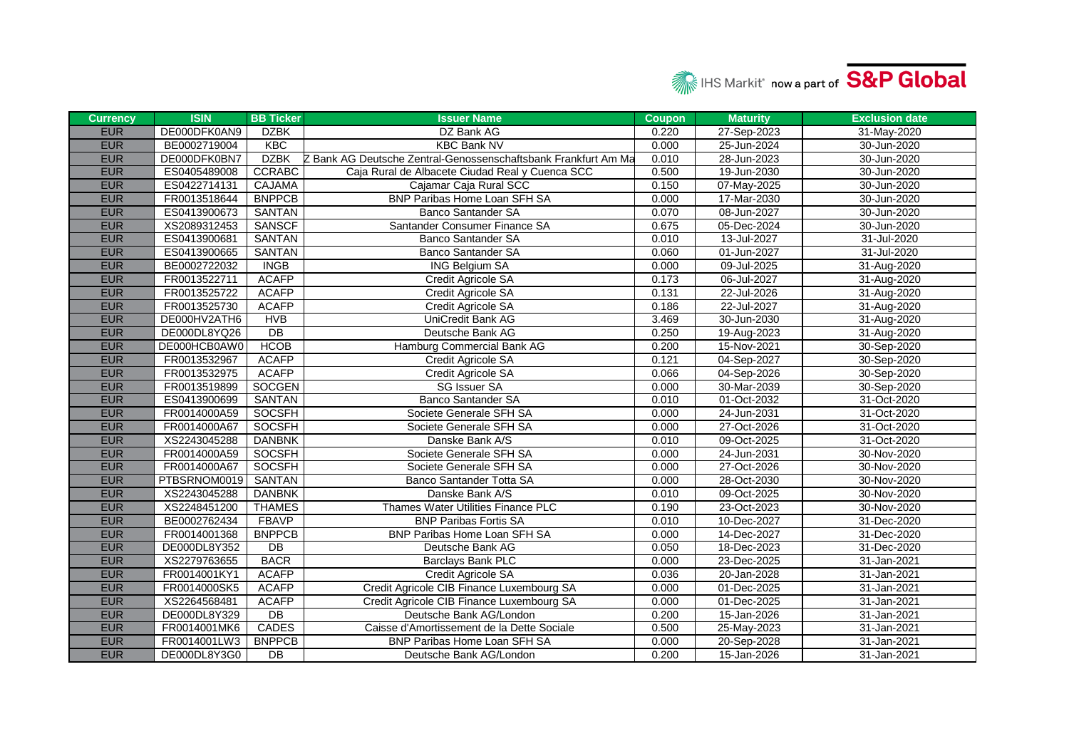

| <b>Currency</b> | <b>ISIN</b>  | <b>BB Ticker</b> | <b>Issuer Name</b>                                             | <b>Coupon</b> | <b>Maturity</b> | <b>Exclusion date</b> |
|-----------------|--------------|------------------|----------------------------------------------------------------|---------------|-----------------|-----------------------|
| <b>EUR</b>      | DE000DFK0AN9 | <b>DZBK</b>      | DZ Bank AG                                                     | 0.220         | 27-Sep-2023     | 31-May-2020           |
| <b>EUR</b>      | BE0002719004 | KBC              | <b>KBC Bank NV</b>                                             | 0.000         | 25-Jun-2024     | 30-Jun-2020           |
| <b>EUR</b>      | DE000DFK0BN7 | <b>DZBK</b>      | Z Bank AG Deutsche Zentral-Genossenschaftsbank Frankfurt Am Ma | 0.010         | 28-Jun-2023     | 30-Jun-2020           |
| <b>EUR</b>      | ES0405489008 | <b>CCRABC</b>    | Caja Rural de Albacete Ciudad Real y Cuenca SCC                | 0.500         | 19-Jun-2030     | 30-Jun-2020           |
| <b>EUR</b>      | ES0422714131 | <b>CAJAMA</b>    | Cajamar Caja Rural SCC                                         | 0.150         | 07-May-2025     | 30-Jun-2020           |
| <b>EUR</b>      | FR0013518644 | <b>BNPPCB</b>    | BNP Paribas Home Loan SFH SA                                   | 0.000         | 17-Mar-2030     | 30-Jun-2020           |
| <b>EUR</b>      | ES0413900673 | <b>SANTAN</b>    | <b>Banco Santander SA</b>                                      | 0.070         | 08-Jun-2027     | 30-Jun-2020           |
| <b>EUR</b>      | XS2089312453 | <b>SANSCF</b>    | Santander Consumer Finance SA                                  | 0.675         | 05-Dec-2024     | 30-Jun-2020           |
| <b>EUR</b>      | ES0413900681 | SANTAN           | <b>Banco Santander SA</b>                                      | 0.010         | 13-Jul-2027     | 31-Jul-2020           |
| <b>EUR</b>      | ES0413900665 | SANTAN           | Banco Santander SA                                             | 0.060         | 01-Jun-2027     | 31-Jul-2020           |
| <b>EUR</b>      | BE0002722032 | <b>INGB</b>      | <b>ING Belgium SA</b>                                          | 0.000         | 09-Jul-2025     | 31-Aug-2020           |
| <b>EUR</b>      | FR0013522711 | <b>ACAFP</b>     | Credit Agricole SA                                             | 0.173         | 06-Jul-2027     | 31-Aug-2020           |
| <b>EUR</b>      | FR0013525722 | <b>ACAFP</b>     | Credit Agricole SA                                             | 0.131         | 22-Jul-2026     | 31-Aug-2020           |
| <b>EUR</b>      | FR0013525730 | <b>ACAFP</b>     | Credit Agricole SA                                             | 0.186         | 22-Jul-2027     | 31-Aug-2020           |
| <b>EUR</b>      | DE000HV2ATH6 | <b>HVB</b>       | UniCredit Bank AG                                              | 3.469         | 30-Jun-2030     | 31-Aug-2020           |
| <b>EUR</b>      | DE000DL8YQ26 | DB               | Deutsche Bank AG                                               | 0.250         | 19-Aug-2023     | 31-Aug-2020           |
| <b>EUR</b>      | DE000HCB0AW0 | <b>HCOB</b>      | Hamburg Commercial Bank AG                                     | 0.200         | 15-Nov-2021     | 30-Sep-2020           |
| <b>EUR</b>      | FR0013532967 | <b>ACAFP</b>     | Credit Agricole SA                                             | 0.121         | 04-Sep-2027     | 30-Sep-2020           |
| <b>EUR</b>      | FR0013532975 | <b>ACAFP</b>     | Credit Agricole SA                                             | 0.066         | 04-Sep-2026     | 30-Sep-2020           |
| <b>EUR</b>      | FR0013519899 | <b>SOCGEN</b>    | <b>SG Issuer SA</b>                                            | 0.000         | 30-Mar-2039     | 30-Sep-2020           |
| <b>EUR</b>      | ES0413900699 | <b>SANTAN</b>    | Banco Santander SA                                             | 0.010         | 01-Oct-2032     | 31-Oct-2020           |
| <b>EUR</b>      | FR0014000A59 | SOCSFH           | Societe Generale SFH SA                                        | 0.000         | 24-Jun-2031     | 31-Oct-2020           |
| <b>EUR</b>      | FR0014000A67 | SOCSFH           | Societe Generale SFH SA                                        | 0.000         | 27-Oct-2026     | 31-Oct-2020           |
| <b>EUR</b>      | XS2243045288 | <b>DANBNK</b>    | Danske Bank A/S                                                | 0.010         | 09-Oct-2025     | 31-Oct-2020           |
| <b>EUR</b>      | FR0014000A59 | SOCSFH           | Societe Generale SFH SA                                        | 0.000         | 24-Jun-2031     | 30-Nov-2020           |
| <b>EUR</b>      | FR0014000A67 | <b>SOCSFH</b>    | Societe Generale SFH SA                                        | 0.000         | 27-Oct-2026     | 30-Nov-2020           |
| <b>EUR</b>      | PTBSRNOM0019 | <b>SANTAN</b>    | Banco Santander Totta SA                                       | 0.000         | 28-Oct-2030     | 30-Nov-2020           |
| <b>EUR</b>      | XS2243045288 | <b>DANBNK</b>    | Danske Bank A/S                                                | 0.010         | 09-Oct-2025     | 30-Nov-2020           |
| <b>EUR</b>      | XS2248451200 | <b>THAMES</b>    | Thames Water Utilities Finance PLC                             | 0.190         | 23-Oct-2023     | 30-Nov-2020           |
| <b>EUR</b>      | BE0002762434 | <b>FBAVP</b>     | <b>BNP Paribas Fortis SA</b>                                   | 0.010         | 10-Dec-2027     | 31-Dec-2020           |
| <b>EUR</b>      | FR0014001368 | <b>BNPPCB</b>    | BNP Paribas Home Loan SFH SA                                   | 0.000         | 14-Dec-2027     | 31-Dec-2020           |
| <b>EUR</b>      | DE000DL8Y352 | DB               | Deutsche Bank AG                                               | 0.050         | 18-Dec-2023     | 31-Dec-2020           |
| <b>EUR</b>      | XS2279763655 | <b>BACR</b>      | Barclays Bank PLC                                              | 0.000         | 23-Dec-2025     | 31-Jan-2021           |
| <b>EUR</b>      | FR0014001KY1 | <b>ACAFP</b>     | Credit Agricole SA                                             | 0.036         | 20-Jan-2028     | 31-Jan-2021           |
| <b>EUR</b>      | FR0014000SK5 | <b>ACAFP</b>     | Credit Agricole CIB Finance Luxembourg SA                      | 0.000         | 01-Dec-2025     | 31-Jan-2021           |
| <b>EUR</b>      | XS2264568481 | <b>ACAFP</b>     | Credit Agricole CIB Finance Luxembourg SA                      | 0.000         | 01-Dec-2025     | 31-Jan-2021           |
| <b>EUR</b>      | DE000DL8Y329 | DB               | Deutsche Bank AG/London                                        | 0.200         | 15-Jan-2026     | 31-Jan-2021           |
| <b>EUR</b>      | FR0014001MK6 | CADES            | Caisse d'Amortissement de la Dette Sociale                     | 0.500         | 25-May-2023     | 31-Jan-2021           |
| <b>EUR</b>      | FR0014001LW3 | <b>BNPPCB</b>    | BNP Paribas Home Loan SFH SA                                   | 0.000         | 20-Sep-2028     | 31-Jan-2021           |
| <b>EUR</b>      | DE000DL8Y3G0 | DB               | Deutsche Bank AG/London                                        | 0.200         | 15-Jan-2026     | 31-Jan-2021           |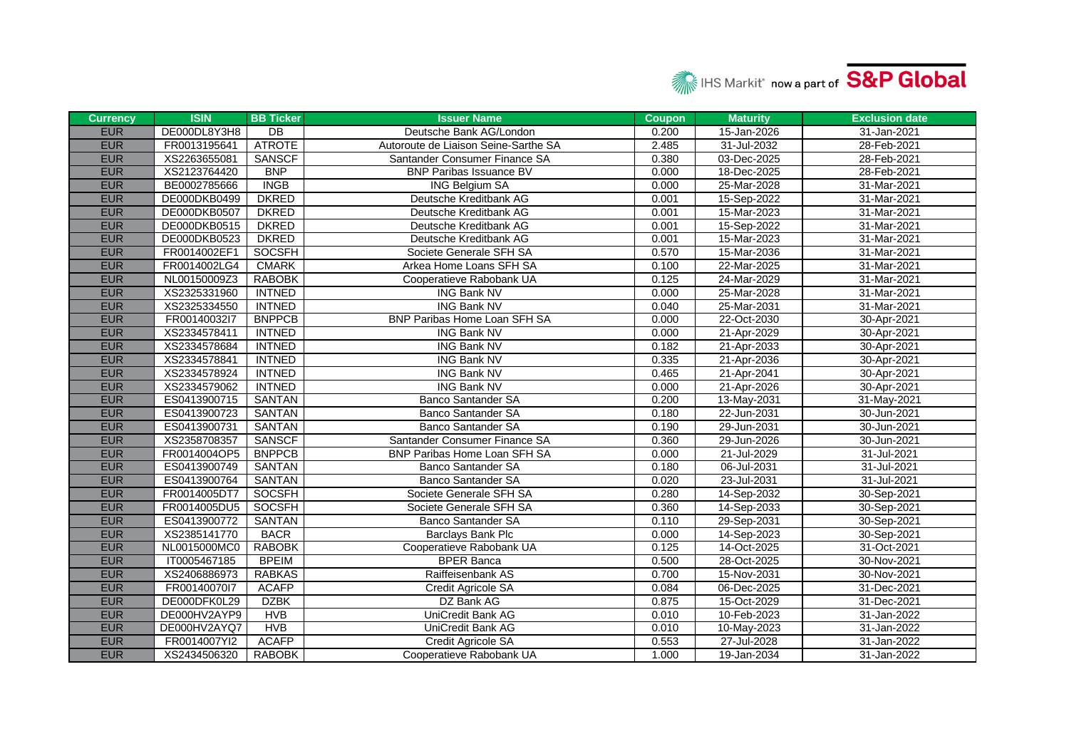

| <b>Currency</b> | <b>ISIN</b>  | <b>BB Ticker</b> | <b>Issuer Name</b>                   | <b>Coupon</b> | <b>Maturity</b> | <b>Exclusion date</b> |
|-----------------|--------------|------------------|--------------------------------------|---------------|-----------------|-----------------------|
| <b>EUR</b>      | DE000DL8Y3H8 | $\overline{DB}$  | Deutsche Bank AG/London              | 0.200         | 15-Jan-2026     | 31-Jan-2021           |
| <b>EUR</b>      | FR0013195641 | <b>ATROTE</b>    | Autoroute de Liaison Seine-Sarthe SA | 2.485         | 31-Jul-2032     | 28-Feb-2021           |
| <b>EUR</b>      | XS2263655081 | <b>SANSCF</b>    | Santander Consumer Finance SA        | 0.380         | 03-Dec-2025     | 28-Feb-2021           |
| <b>EUR</b>      | XS2123764420 | <b>BNP</b>       | <b>BNP Paribas Issuance BV</b>       | 0.000         | 18-Dec-2025     | 28-Feb-2021           |
| <b>EUR</b>      | BE0002785666 | <b>INGB</b>      | <b>ING Belgium SA</b>                | 0.000         | 25-Mar-2028     | 31-Mar-2021           |
| <b>EUR</b>      | DE000DKB0499 | <b>DKRED</b>     | Deutsche Kreditbank AG               | 0.001         | 15-Sep-2022     | 31-Mar-2021           |
| <b>EUR</b>      | DE000DKB0507 | <b>DKRED</b>     | Deutsche Kreditbank AG               | 0.001         | 15-Mar-2023     | 31-Mar-2021           |
| <b>EUR</b>      | DE000DKB0515 | <b>DKRED</b>     | Deutsche Kreditbank AG               | 0.001         | 15-Sep-2022     | 31-Mar-2021           |
| <b>EUR</b>      | DE000DKB0523 | <b>DKRED</b>     | Deutsche Kreditbank AG               | 0.001         | 15-Mar-2023     | 31-Mar-2021           |
| <b>EUR</b>      | FR0014002EF1 | <b>SOCSFH</b>    | Societe Generale SFH SA              | 0.570         | 15-Mar-2036     | 31-Mar-2021           |
| <b>EUR</b>      | FR0014002LG4 | <b>CMARK</b>     | Arkea Home Loans SFH SA              | 0.100         | 22-Mar-2025     | 31-Mar-2021           |
| <b>EUR</b>      | NL00150009Z3 | <b>RABOBK</b>    | Cooperatieve Rabobank UA             | 0.125         | 24-Mar-2029     | 31-Mar-2021           |
| <b>EUR</b>      | XS2325331960 | <b>INTNED</b>    | <b>ING Bank NV</b>                   | 0.000         | 25-Mar-2028     | 31-Mar-2021           |
| <b>EUR</b>      | XS2325334550 | <b>INTNED</b>    | <b>ING Bank NV</b>                   | 0.040         | 25-Mar-2031     | 31-Mar-2021           |
| <b>EUR</b>      | FR00140032l7 | <b>BNPPCB</b>    | BNP Paribas Home Loan SFH SA         | 0.000         | 22-Oct-2030     | 30-Apr-2021           |
| <b>EUR</b>      | XS2334578411 | <b>INTNED</b>    | <b>ING Bank NV</b>                   | 0.000         | 21-Apr-2029     | 30-Apr-2021           |
| <b>EUR</b>      | XS2334578684 | <b>INTNED</b>    | <b>ING Bank NV</b>                   | 0.182         | 21-Apr-2033     | 30-Apr-2021           |
| <b>EUR</b>      | XS2334578841 | <b>INTNED</b>    | <b>ING Bank NV</b>                   | 0.335         | 21-Apr-2036     | 30-Apr-2021           |
| <b>EUR</b>      | XS2334578924 | <b>INTNED</b>    | <b>ING Bank NV</b>                   | 0.465         | 21-Apr-2041     | 30-Apr-2021           |
| <b>EUR</b>      | XS2334579062 | <b>INTNED</b>    | <b>ING Bank NV</b>                   | 0.000         | 21-Apr-2026     | 30-Apr-2021           |
| <b>EUR</b>      | ES0413900715 | SANTAN           | <b>Banco Santander SA</b>            | 0.200         | 13-May-2031     | 31-May-2021           |
| <b>EUR</b>      | ES0413900723 | SANTAN           | <b>Banco Santander SA</b>            | 0.180         | 22-Jun-2031     | 30-Jun-2021           |
| <b>EUR</b>      | ES0413900731 | SANTAN           | <b>Banco Santander SA</b>            | 0.190         | 29-Jun-2031     | 30-Jun-2021           |
| <b>EUR</b>      | XS2358708357 | <b>SANSCF</b>    | Santander Consumer Finance SA        | 0.360         | 29-Jun-2026     | 30-Jun-2021           |
| <b>EUR</b>      | FR0014004OP5 | <b>BNPPCB</b>    | <b>BNP Paribas Home Loan SFH SA</b>  | 0.000         | 21-Jul-2029     | 31-Jul-2021           |
| <b>EUR</b>      | ES0413900749 | SANTAN           | <b>Banco Santander SA</b>            | 0.180         | 06-Jul-2031     | 31-Jul-2021           |
| <b>EUR</b>      | ES0413900764 | SANTAN           | <b>Banco Santander SA</b>            | 0.020         | 23-Jul-2031     | 31-Jul-2021           |
| <b>EUR</b>      | FR0014005DT7 | SOCSFH           | Societe Generale SFH SA              | 0.280         | 14-Sep-2032     | 30-Sep-2021           |
| <b>EUR</b>      | FR0014005DU5 | SOCSFH           | Societe Generale SFH SA              | 0.360         | 14-Sep-2033     | 30-Sep-2021           |
| <b>EUR</b>      | ES0413900772 | SANTAN           | <b>Banco Santander SA</b>            | 0.110         | 29-Sep-2031     | 30-Sep-2021           |
| <b>EUR</b>      | XS2385141770 | <b>BACR</b>      | Barclays Bank Plc                    | 0.000         | 14-Sep-2023     | 30-Sep-2021           |
| <b>EUR</b>      | NL0015000MC0 | <b>RABOBK</b>    | Cooperatieve Rabobank UA             | 0.125         | 14-Oct-2025     | 31-Oct-2021           |
| <b>EUR</b>      | IT0005467185 | <b>BPEIM</b>     | <b>BPER Banca</b>                    | 0.500         | 28-Oct-2025     | 30-Nov-2021           |
| <b>EUR</b>      | XS2406886973 | <b>RABKAS</b>    | Raiffeisenbank AS                    | 0.700         | 15-Nov-2031     | 30-Nov-2021           |
| <b>EUR</b>      | FR00140070l7 | <b>ACAFP</b>     | Credit Agricole SA                   | 0.084         | 06-Dec-2025     | 31-Dec-2021           |
| <b>EUR</b>      | DE000DFK0L29 | <b>DZBK</b>      | DZ Bank AG                           | 0.875         | 15-Oct-2029     | 31-Dec-2021           |
| <b>EUR</b>      | DE000HV2AYP9 | <b>HVB</b>       | <b>UniCredit Bank AG</b>             | 0.010         | 10-Feb-2023     | 31-Jan-2022           |
| <b>EUR</b>      | DE000HV2AYQ7 | <b>HVB</b>       | UniCredit Bank AG                    | 0.010         | 10-May-2023     | 31-Jan-2022           |
| <b>EUR</b>      | FR0014007YI2 | <b>ACAFP</b>     | Credit Agricole SA                   | 0.553         | 27-Jul-2028     | 31-Jan-2022           |
| <b>EUR</b>      | XS2434506320 | RABOBK           | Cooperatieve Rabobank UA             | 1.000         | 19-Jan-2034     | 31-Jan-2022           |